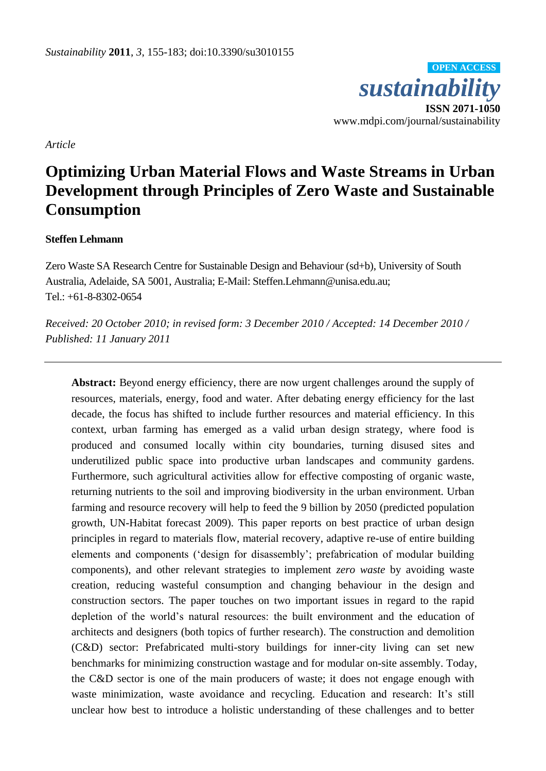*sustainability* **ISSN 2071-1050** www.mdpi.com/journal/sustainability **OPEN ACCESS**

*Article*

# **Optimizing Urban Material Flows and Waste Streams in Urban Development through Principles of Zero Waste and Sustainable Consumption**

# **Steffen Lehmann**

Zero Waste SA Research Centre for Sustainable Design and Behaviour (sd+b), University of South Australia, Adelaide, SA 5001, Australia; E-Mail: Steffen.Lehmann@unisa.edu.au;  $Tel: +61-8-8302-0654$ 

*Received: 20 October 2010; in revised form: 3 December 2010 / Accepted: 14 December 2010 / Published: 11 January 2011*

Abstract: Beyond energy efficiency, there are now urgent challenges around the supply of resources, materials, energy, food and water. After debating energy efficiency for the last decade, the focus has shifted to include further resources and material efficiency. In this context, urban farming has emerged as a valid urban design strategy, where food is produced and consumed locally within city boundaries, turning disused sites and underutilized public space into productive urban landscapes and community gardens. Furthermore, such agricultural activities allow for effective composting of organic waste, returning nutrients to the soil and improving biodiversity in the urban environment. Urban farming and resource recovery will help to feed the 9 billion by 2050 (predicted population growth, UN-Habitat forecast 2009). This paper reports on best practice of urban design principles in regard to materials flow, material recovery, adaptive re-use of entire building elements and components (‗design for disassembly'; prefabrication of modular building components), and other relevant strategies to implement *zero waste* by avoiding waste creation, reducing wasteful consumption and changing behaviour in the design and construction sectors. The paper touches on two important issues in regard to the rapid depletion of the world's natural resources: the built environment and the education of architects and designers (both topics of further research). The construction and demolition (C&D) sector: Prefabricated multi-story buildings for inner-city living can set new benchmarks for minimizing construction wastage and for modular on-site assembly. Today, the C&D sector is one of the main producers of waste; it does not engage enough with waste minimization, waste avoidance and recycling. Education and research: It's still unclear how best to introduce a holistic understanding of these challenges and to better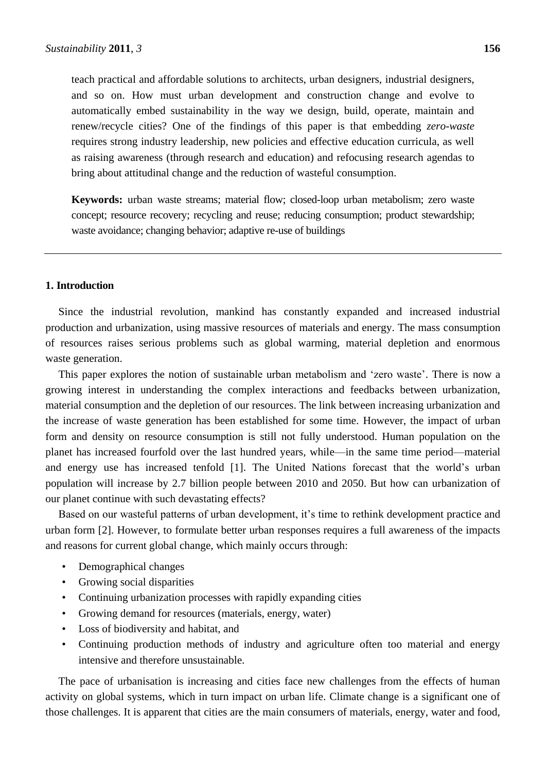teach practical and affordable solutions to architects, urban designers, industrial designers, and so on. How must urban development and construction change and evolve to automatically embed sustainability in the way we design, build, operate, maintain and renew/recycle cities? One of the findings of this paper is that embedding *zero-waste*  requires strong industry leadership, new policies and effective education curricula, as well as raising awareness (through research and education) and refocusing research agendas to bring about attitudinal change and the reduction of wasteful consumption.

**Keywords:** urban waste streams; material flow; closed-loop urban metabolism; zero waste concept; resource recovery; recycling and reuse; reducing consumption; product stewardship; waste avoidance; changing behavior; adaptive re-use of buildings

## **1. Introduction**

Since the industrial revolution, mankind has constantly expanded and increased industrial production and urbanization, using massive resources of materials and energy. The mass consumption of resources raises serious problems such as global warming, material depletion and enormous waste generation.

This paper explores the notion of sustainable urban metabolism and ‗zero waste'. There is now a growing interest in understanding the complex interactions and feedbacks between urbanization, material consumption and the depletion of our resources. The link between increasing urbanization and the increase of waste generation has been established for some time. However, the impact of urban form and density on resource consumption is still not fully understood. Human population on the planet has increased fourfold over the last hundred years, while—in the same time period—material and energy use has increased tenfold [1]. The United Nations forecast that the world's urban population will increase by 2.7 billion people between 2010 and 2050. But how can urbanization of our planet continue with such devastating effects?

Based on our wasteful patterns of urban development, it's time to rethink development practice and urban form [2]. However, to formulate better urban responses requires a full awareness of the impacts and reasons for current global change, which mainly occurs through:

- Demographical changes
- Growing social disparities
- Continuing urbanization processes with rapidly expanding cities
- Growing demand for resources (materials, energy, water)
- Loss of biodiversity and habitat, and
- Continuing production methods of industry and agriculture often too material and energy intensive and therefore unsustainable.

The pace of urbanisation is increasing and cities face new challenges from the effects of human activity on global systems, which in turn impact on urban life. Climate change is a significant one of those challenges. It is apparent that cities are the main consumers of materials, energy, water and food,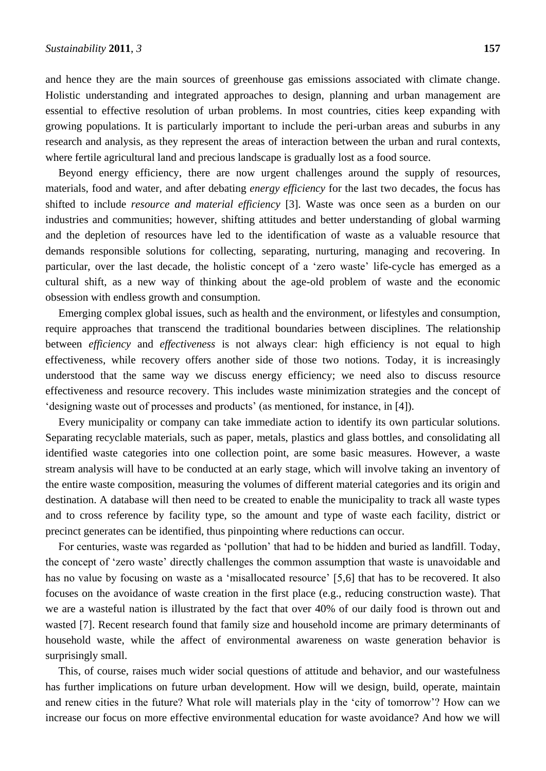and hence they are the main sources of greenhouse gas emissions associated with climate change. Holistic understanding and integrated approaches to design, planning and urban management are essential to effective resolution of urban problems. In most countries, cities keep expanding with growing populations. It is particularly important to include the peri-urban areas and suburbs in any research and analysis, as they represent the areas of interaction between the urban and rural contexts, where fertile agricultural land and precious landscape is gradually lost as a food source.

Beyond energy efficiency, there are now urgent challenges around the supply of resources, materials, food and water, and after debating *energy efficiency* for the last two decades, the focus has shifted to include *resource and material efficiency* [3]. Waste was once seen as a burden on our industries and communities; however, shifting attitudes and better understanding of global warming and the depletion of resources have led to the identification of waste as a valuable resource that demands responsible solutions for collecting, separating, nurturing, managing and recovering. In particular, over the last decade, the holistic concept of a 'zero waste' life-cycle has emerged as a cultural shift, as a new way of thinking about the age-old problem of waste and the economic obsession with endless growth and consumption.

Emerging complex global issues, such as health and the environment, or lifestyles and consumption, require approaches that transcend the traditional boundaries between disciplines. The relationship between *efficiency* and *effectiveness* is not always clear: high efficiency is not equal to high effectiveness, while recovery offers another side of those two notions. Today, it is increasingly understood that the same way we discuss energy efficiency; we need also to discuss resource effectiveness and resource recovery. This includes waste minimization strategies and the concept of designing waste out of processes and products' (as mentioned, for instance, in [4]).

Every municipality or company can take immediate action to identify its own particular solutions. Separating recyclable materials, such as paper, metals, plastics and glass bottles, and consolidating all identified waste categories into one collection point, are some basic measures. However, a waste stream analysis will have to be conducted at an early stage, which will involve taking an inventory of the entire waste composition, measuring the volumes of different material categories and its origin and destination. A database will then need to be created to enable the municipality to track all waste types and to cross reference by facility type, so the amount and type of waste each facility, district or precinct generates can be identified, thus pinpointing where reductions can occur.

For centuries, waste was regarded as 'pollution' that had to be hidden and buried as landfill. Today, the concept of ‗zero waste' directly challenges the common assumption that waste is unavoidable and has no value by focusing on waste as a 'misallocated resource' [5,6] that has to be recovered. It also focuses on the avoidance of waste creation in the first place (e.g., reducing construction waste). That we are a wasteful nation is illustrated by the fact that over 40% of our daily food is thrown out and wasted [7]. Recent research found that family size and household income are primary determinants of household waste, while the affect of environmental awareness on waste generation behavior is surprisingly small.

This, of course, raises much wider social questions of attitude and behavior, and our wastefulness has further implications on future urban development. How will we design, build, operate, maintain and renew cities in the future? What role will materials play in the 'city of tomorrow'? How can we increase our focus on more effective environmental education for waste avoidance? And how we will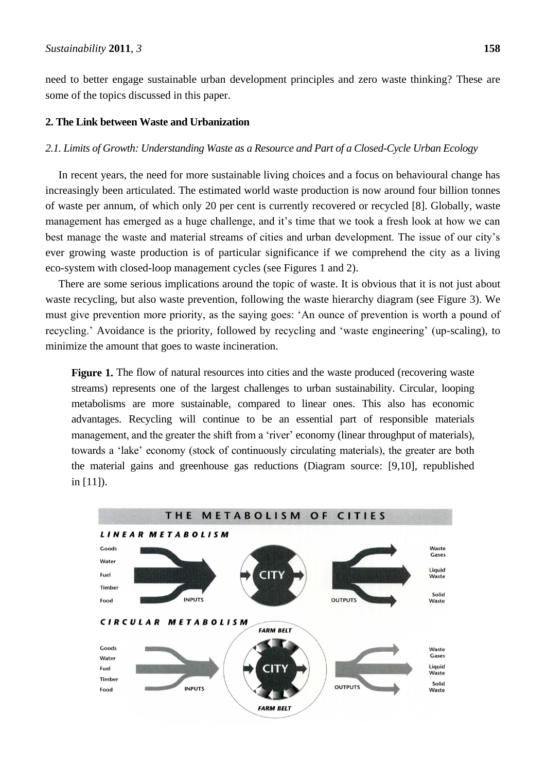need to better engage sustainable urban development principles and zero waste thinking? These are some of the topics discussed in this paper.

#### **2. The Link between Waste and Urbanization**

#### *2.1. Limits of Growth: Understanding Waste as a Resource and Part of a Closed-Cycle Urban Ecology*

In recent years, the need for more sustainable living choices and a focus on behavioural change has increasingly been articulated. The estimated world waste production is now around four billion tonnes of waste per annum, of which only 20 per cent is currently recovered or recycled [8]. Globally, waste management has emerged as a huge challenge, and it's time that we took a fresh look at how we can best manage the waste and material streams of cities and urban development. The issue of our city's ever growing waste production is of particular significance if we comprehend the city as a living eco-system with closed-loop management cycles (see Figures 1 and 2).

There are some serious implications around the topic of waste. It is obvious that it is not just about waste recycling, but also waste prevention, following the waste hierarchy diagram (see Figure 3). We must give prevention more priority, as the saying goes: ‗An ounce of prevention is worth a pound of recycling.' Avoidance is the priority, followed by recycling and 'waste engineering' (up-scaling), to minimize the amount that goes to waste incineration.

**Figure 1.** The flow of natural resources into cities and the waste produced (recovering waste streams) represents one of the largest challenges to urban sustainability. Circular, looping metabolisms are more sustainable, compared to linear ones. This also has economic advantages. Recycling will continue to be an essential part of responsible materials management, and the greater the shift from a 'river' economy (linear throughput of materials), towards a ‗lake' economy (stock of continuously circulating materials), the greater are both the material gains and greenhouse gas reductions (Diagram source: [9,10], republished in [11]).

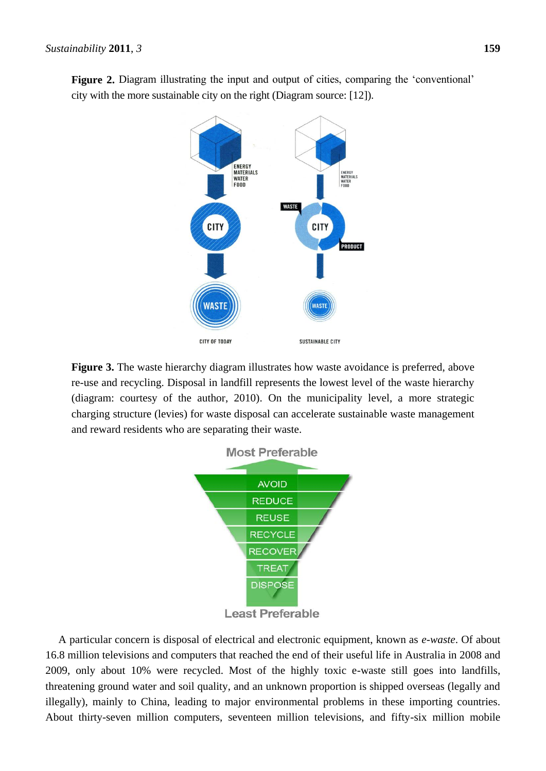Figure 2. Diagram illustrating the input and output of cities, comparing the 'conventional' city with the more sustainable city on the right (Diagram source: [12]).



**Figure 3.** The waste hierarchy diagram illustrates how waste avoidance is preferred, above re-use and recycling. Disposal in landfill represents the lowest level of the waste hierarchy (diagram: courtesy of the author, 2010). On the municipality level, a more strategic charging structure (levies) for waste disposal can accelerate sustainable waste management and reward residents who are separating their waste.



**Least Preferable** 

A particular concern is disposal of electrical and electronic equipment, known as *e-waste*. Of about 16.8 million televisions and computers that reached the end of their useful life in Australia in 2008 and 2009, only about 10% were recycled. Most of the highly toxic e-waste still goes into landfills, threatening ground water and soil quality, and an unknown proportion is shipped overseas (legally and illegally), mainly to China, leading to major environmental problems in these importing countries. About thirty-seven million computers, seventeen million televisions, and fifty-six million mobile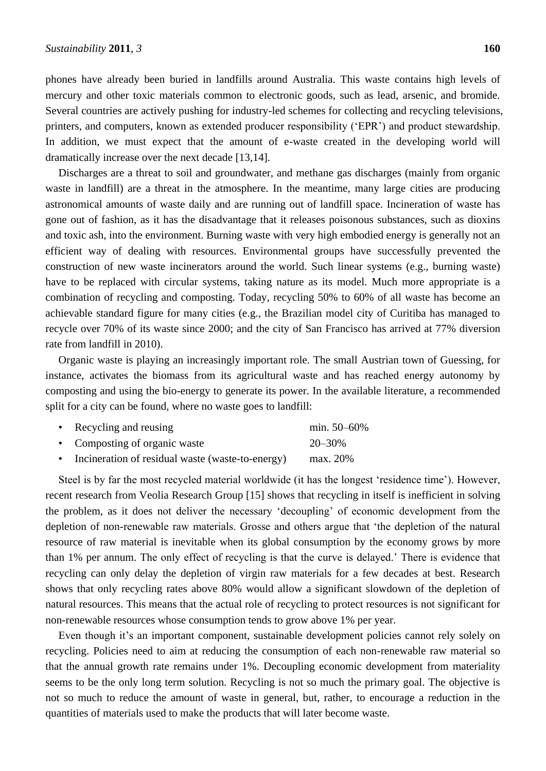phones have already been buried in landfills around Australia. This waste contains high levels of mercury and other toxic materials common to electronic goods, such as lead, arsenic, and bromide. Several countries are actively pushing for industry-led schemes for collecting and recycling televisions, printers, and computers, known as extended producer responsibility (‗EPR') and product stewardship. In addition, we must expect that the amount of e-waste created in the developing world will dramatically increase over the next decade [13,14].

Discharges are a threat to soil and groundwater, and methane gas discharges (mainly from organic waste in landfill) are a threat in the atmosphere. In the meantime, many large cities are producing astronomical amounts of waste daily and are running out of landfill space. Incineration of waste has gone out of fashion, as it has the disadvantage that it releases poisonous substances, such as dioxins and toxic ash, into the environment. Burning waste with very high embodied energy is generally not an efficient way of dealing with resources. Environmental groups have successfully prevented the construction of new waste incinerators around the world. Such linear systems (e.g., burning waste) have to be replaced with circular systems, taking nature as its model. Much more appropriate is a combination of recycling and composting. Today, recycling 50% to 60% of all waste has become an achievable standard figure for many cities (e.g., the Brazilian model city of Curitiba has managed to recycle over 70% of its waste since 2000; and the city of San Francisco has arrived at 77% diversion rate from landfill in 2010).

Organic waste is playing an increasingly important role. The small Austrian town of Guessing, for instance, activates the biomass from its agricultural waste and has reached energy autonomy by composting and using the bio-energy to generate its power. In the available literature, a recommended split for a city can be found, where no waste goes to landfill:

|           | • Recycling and reusing                          | min. 50-60% |
|-----------|--------------------------------------------------|-------------|
|           | • Composting of organic waste                    | $20 - 30\%$ |
| $\bullet$ | Incineration of residual waste (waste-to-energy) | max. 20%    |

Steel is by far the most recycled material worldwide (it has the longest 'residence time'). However, recent research from Veolia Research Group [15] shows that recycling in itself is inefficient in solving the problem, as it does not deliver the necessary ‗decoupling' of economic development from the depletion of non-renewable raw materials. Grosse and others argue that 'the depletion of the natural resource of raw material is inevitable when its global consumption by the economy grows by more than 1% per annum. The only effect of recycling is that the curve is delayed.' There is evidence that recycling can only delay the depletion of virgin raw materials for a few decades at best. Research shows that only recycling rates above 80% would allow a significant slowdown of the depletion of natural resources. This means that the actual role of recycling to protect resources is not significant for non-renewable resources whose consumption tends to grow above 1% per year.

Even though it's an important component, sustainable development policies cannot rely solely on recycling. Policies need to aim at reducing the consumption of each non-renewable raw material so that the annual growth rate remains under 1%. Decoupling economic development from materiality seems to be the only long term solution. Recycling is not so much the primary goal. The objective is not so much to reduce the amount of waste in general, but, rather, to encourage a reduction in the quantities of materials used to make the products that will later become waste.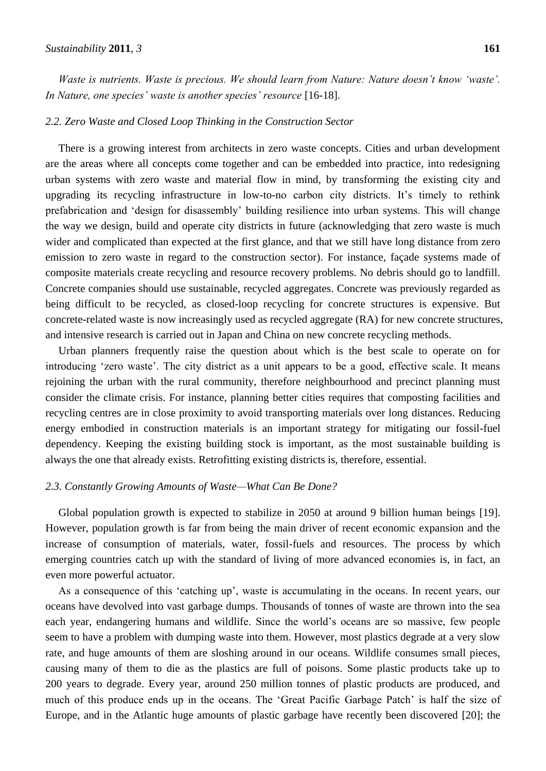*Waste is nutrients. Waste is precious. We should learn from Nature: Nature doesn't know 'waste'. In Nature, one species' waste is another species' resource* [16-18].

#### *2.2. Zero Waste and Closed Loop Thinking in the Construction Sector*

There is a growing interest from architects in zero waste concepts. Cities and urban development are the areas where all concepts come together and can be embedded into practice, into redesigning urban systems with zero waste and material flow in mind, by transforming the existing city and upgrading its recycling infrastructure in low-to-no carbon city districts. It's timely to rethink prefabrication and 'design for disassembly' building resilience into urban systems. This will change the way we design, build and operate city districts in future (acknowledging that zero waste is much wider and complicated than expected at the first glance, and that we still have long distance from zero emission to zero waste in regard to the construction sector). For instance, façade systems made of composite materials create recycling and resource recovery problems. No debris should go to landfill. Concrete companies should use sustainable, recycled aggregates. Concrete was previously regarded as being difficult to be recycled, as closed-loop recycling for concrete structures is expensive. But concrete-related waste is now increasingly used as recycled aggregate (RA) for new concrete structures, and intensive research is carried out in Japan and China on new concrete recycling methods.

Urban planners frequently raise the question about which is the best scale to operate on for introducing 'zero waste'. The city district as a unit appears to be a good, effective scale. It means rejoining the urban with the rural community, therefore neighbourhood and precinct planning must consider the climate crisis. For instance, planning better cities requires that composting facilities and recycling centres are in close proximity to avoid transporting materials over long distances. Reducing energy embodied in construction materials is an important strategy for mitigating our fossil-fuel dependency. Keeping the existing building stock is important, as the most sustainable building is always the one that already exists. Retrofitting existing districts is, therefore, essential.

## *2.3. Constantly Growing Amounts of Waste—What Can Be Done?*

Global population growth is expected to stabilize in 2050 at around 9 billion human beings [19]. However, population growth is far from being the main driver of recent economic expansion and the increase of consumption of materials, water, fossil-fuels and resources. The process by which emerging countries catch up with the standard of living of more advanced economies is, in fact, an even more powerful actuator.

As a consequence of this 'catching up', waste is accumulating in the oceans. In recent years, our oceans have devolved into vast garbage dumps. Thousands of tonnes of waste are thrown into the sea each year, endangering humans and wildlife. Since the world's oceans are so massive, few people seem to have a problem with dumping waste into them. However, most plastics degrade at a very slow rate, and huge amounts of them are sloshing around in our oceans. Wildlife consumes small pieces, causing many of them to die as the plastics are full of poisons. Some plastic products take up to 200 years to degrade. Every year, around 250 million tonnes of plastic products are produced, and much of this produce ends up in the oceans. The 'Great Pacific Garbage Patch' is half the size of Europe, and in the Atlantic huge amounts of plastic garbage have recently been discovered [20]; the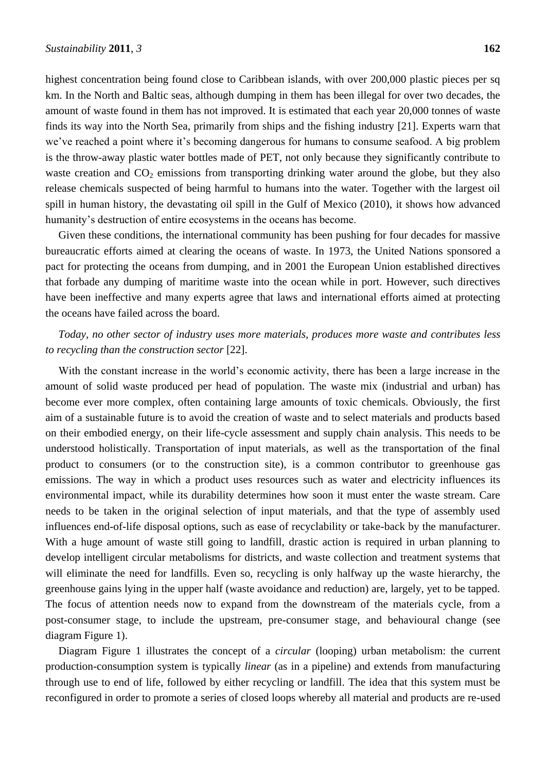highest concentration being found close to Caribbean islands, with over 200,000 plastic pieces per sq km. In the North and Baltic seas, although dumping in them has been illegal for over two decades, the amount of waste found in them has not improved. It is estimated that each year 20,000 tonnes of waste finds its way into the North Sea, primarily from ships and the fishing industry [21]. Experts warn that we've reached a point where it's becoming dangerous for humans to consume seafood. A big problem is the throw-away plastic water bottles made of PET, not only because they significantly contribute to waste creation and  $CO_2$  emissions from transporting drinking water around the globe, but they also release chemicals suspected of being harmful to humans into the water. Together with the largest oil spill in human history, the devastating oil spill in the Gulf of Mexico (2010), it shows how advanced humanity's destruction of entire ecosystems in the oceans has become.

Given these conditions, the international community has been pushing for four decades for massive bureaucratic efforts aimed at clearing the oceans of waste. In 1973, the United Nations sponsored a pact for protecting the oceans from dumping, and in 2001 the European Union established directives that forbade any dumping of maritime waste into the ocean while in port. However, such directives have been ineffective and many experts agree that laws and international efforts aimed at protecting the oceans have failed across the board.

# *Today, no other sector of industry uses more materials, produces more waste and contributes less to recycling than the construction sector* [22].

With the constant increase in the world's economic activity, there has been a large increase in the amount of solid waste produced per head of population. The waste mix (industrial and urban) has become ever more complex, often containing large amounts of toxic chemicals. Obviously, the first aim of a sustainable future is to avoid the creation of waste and to select materials and products based on their embodied energy, on their life-cycle assessment and supply chain analysis. This needs to be understood holistically. Transportation of input materials, as well as the transportation of the final product to consumers (or to the construction site), is a common contributor to greenhouse gas emissions. The way in which a product uses resources such as water and electricity influences its environmental impact, while its durability determines how soon it must enter the waste stream. Care needs to be taken in the original selection of input materials, and that the type of assembly used influences end-of-life disposal options, such as ease of recyclability or take-back by the manufacturer. With a huge amount of waste still going to landfill, drastic action is required in urban planning to develop intelligent circular metabolisms for districts, and waste collection and treatment systems that will eliminate the need for landfills. Even so, recycling is only halfway up the waste hierarchy, the greenhouse gains lying in the upper half (waste avoidance and reduction) are, largely, yet to be tapped. The focus of attention needs now to expand from the downstream of the materials cycle, from a post-consumer stage, to include the upstream, pre-consumer stage, and behavioural change (see diagram Figure 1).

Diagram Figure 1 illustrates the concept of a *circular* (looping) urban metabolism: the current production-consumption system is typically *linear* (as in a pipeline) and extends from manufacturing through use to end of life, followed by either recycling or landfill. The idea that this system must be reconfigured in order to promote a series of closed loops whereby all material and products are re-used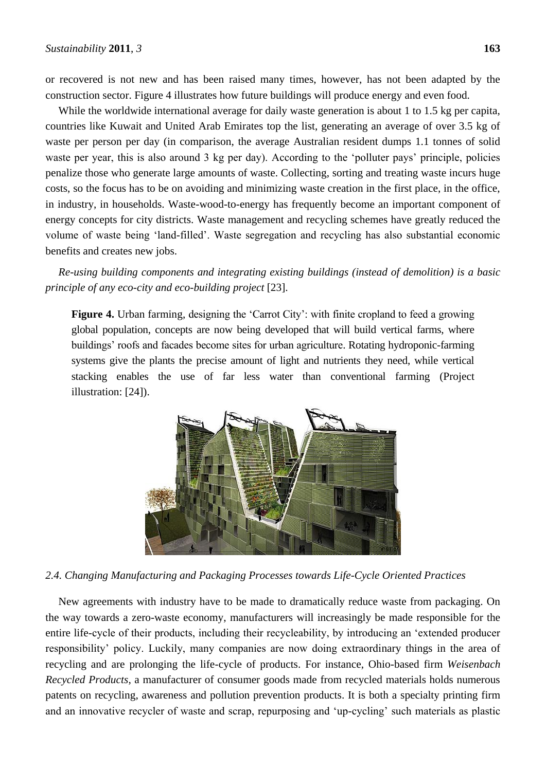or recovered is not new and has been raised many times, however, has not been adapted by the construction sector. Figure 4 illustrates how future buildings will produce energy and even food.

While the worldwide international average for daily waste generation is about 1 to 1.5 kg per capita, countries like Kuwait and United Arab Emirates top the list, generating an average of over 3.5 kg of waste per person per day (in comparison, the average Australian resident dumps 1.1 tonnes of solid waste per year, this is also around 3 kg per day). According to the 'polluter pays' principle, policies penalize those who generate large amounts of waste. Collecting, sorting and treating waste incurs huge costs, so the focus has to be on avoiding and minimizing waste creation in the first place, in the office, in industry, in households. Waste-wood-to-energy has frequently become an important component of energy concepts for city districts. Waste management and recycling schemes have greatly reduced the volume of waste being ‗land-filled'. Waste segregation and recycling has also substantial economic benefits and creates new jobs.

*Re-using building components and integrating existing buildings (instead of demolition) is a basic principle of any eco-city and eco-building project* [23].

**Figure 4.** Urban farming, designing the 'Carrot City': with finite cropland to feed a growing global population, concepts are now being developed that will build vertical farms, where buildings' roofs and facades become sites for urban agriculture. Rotating hydroponic-farming systems give the plants the precise amount of light and nutrients they need, while vertical stacking enables the use of far less water than conventional farming (Project illustration: [24]).



*2.4. Changing Manufacturing and Packaging Processes towards Life-Cycle Oriented Practices*

New agreements with industry have to be made to dramatically reduce waste from packaging. On the way towards a zero-waste economy, manufacturers will increasingly be made responsible for the entire life-cycle of their products, including their recycleability, by introducing an 'extended producer responsibility' policy. Luckily, many companies are now doing extraordinary things in the area of recycling and are prolonging the life-cycle of products. For instance, Ohio-based firm *Weisenbach Recycled Products*, a manufacturer of consumer goods made from recycled materials holds numerous patents on recycling, awareness and pollution prevention products. It is both a specialty printing firm and an innovative recycler of waste and scrap, repurposing and 'up-cycling' such materials as plastic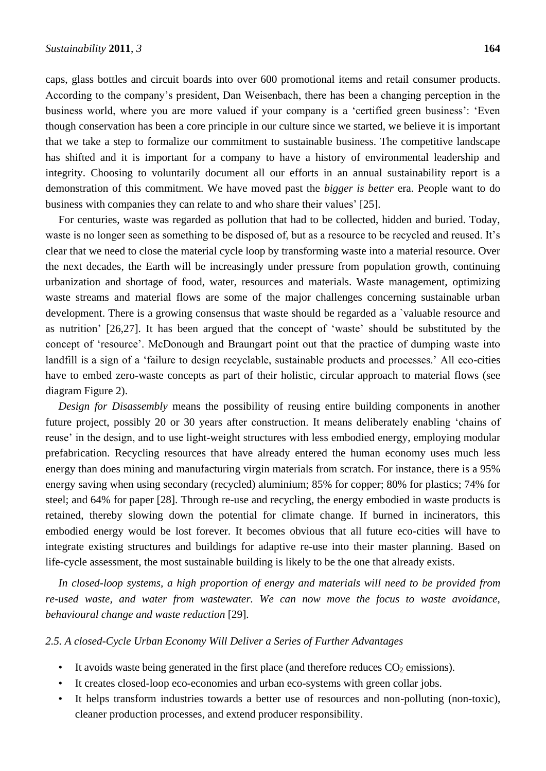caps, glass bottles and circuit boards into over 600 promotional items and retail consumer products. According to the company's president, Dan Weisenbach, there has been a changing perception in the business world, where you are more valued if your company is a 'certified green business': 'Even though conservation has been a core principle in our culture since we started, we believe it is important that we take a step to formalize our commitment to sustainable business. The competitive landscape has shifted and it is important for a company to have a history of environmental leadership and integrity. Choosing to voluntarily document all our efforts in an annual sustainability report is a demonstration of this commitment. We have moved past the *bigger is better* era. People want to do business with companies they can relate to and who share their values' [25].

For centuries, waste was regarded as pollution that had to be collected, hidden and buried. Today, waste is no longer seen as something to be disposed of, but as a resource to be recycled and reused. It's clear that we need to close the material cycle loop by transforming waste into a material resource. Over the next decades, the Earth will be increasingly under pressure from population growth, continuing urbanization and shortage of food, water, resources and materials. Waste management, optimizing waste streams and material flows are some of the major challenges concerning sustainable urban development. There is a growing consensus that waste should be regarded as a `valuable resource and as nutrition' [26,27]. It has been argued that the concept of 'waste' should be substituted by the concept of ‗resource'. McDonough and Braungart point out that the practice of dumping waste into landfill is a sign of a 'failure to design recyclable, sustainable products and processes.' All eco-cities have to embed zero-waste concepts as part of their holistic, circular approach to material flows (see diagram Figure 2).

*Design for Disassembly* means the possibility of reusing entire building components in another future project, possibly 20 or 30 years after construction. It means deliberately enabling 'chains of reuse' in the design, and to use light-weight structures with less embodied energy, employing modular prefabrication. Recycling resources that have already entered the human economy uses much less energy than does mining and manufacturing virgin materials from scratch. For instance, there is a 95% energy saving when using secondary (recycled) aluminium; 85% for copper; 80% for plastics; 74% for steel; and 64% for paper [28]. Through re-use and recycling, the energy embodied in waste products is retained, thereby slowing down the potential for climate change. If burned in incinerators, this embodied energy would be lost forever. It becomes obvious that all future eco-cities will have to integrate existing structures and buildings for adaptive re-use into their master planning. Based on life-cycle assessment, the most sustainable building is likely to be the one that already exists.

*In closed-loop systems, a high proportion of energy and materials will need to be provided from re-used waste, and water from wastewater. We can now move the focus to waste avoidance, behavioural change and waste reduction* [29].

*2.5. A closed-Cycle Urban Economy Will Deliver a Series of Further Advantages*

- It avoids waste being generated in the first place (and therefore reduces  $CO<sub>2</sub>$  emissions).
- It creates closed-loop eco-economies and urban eco-systems with green collar jobs.
- It helps transform industries towards a better use of resources and non-polluting (non-toxic), cleaner production processes, and extend producer responsibility.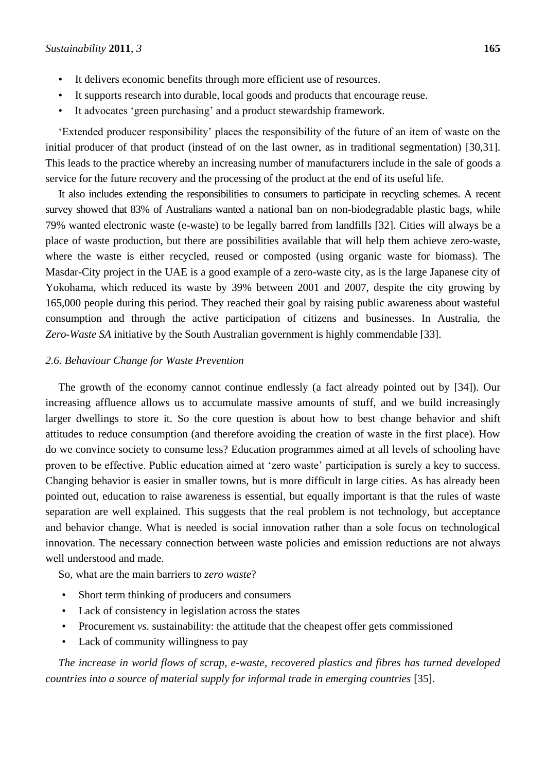- It delivers economic benefits through more efficient use of resources.
- It supports research into durable, local goods and products that encourage reuse.
- It advocates 'green purchasing' and a product stewardship framework.

‗Extended producer responsibility' places the responsibility of the future of an item of waste on the initial producer of that product (instead of on the last owner, as in traditional segmentation) [30,31]. This leads to the practice whereby an increasing number of manufacturers include in the sale of goods a service for the future recovery and the processing of the product at the end of its useful life.

It also includes extending the responsibilities to consumers to participate in recycling schemes. A recent survey showed that 83% of Australians wanted a national ban on non-biodegradable plastic bags, while 79% wanted electronic waste (e-waste) to be legally barred from landfills [32]. Cities will always be a place of waste production, but there are possibilities available that will help them achieve zero-waste, where the waste is either recycled, reused or composted (using organic waste for biomass). The Masdar-City project in the UAE is a good example of a zero-waste city, as is the large Japanese city of Yokohama, which reduced its waste by 39% between 2001 and 2007, despite the city growing by 165,000 people during this period. They reached their goal by raising public awareness about wasteful consumption and through the active participation of citizens and businesses. In Australia, the *Zero-Waste SA* initiative by the South Australian government is highly commendable [33].

#### *2.6. Behaviour Change for Waste Prevention*

The growth of the economy cannot continue endlessly (a fact already pointed out by [34]). Our increasing affluence allows us to accumulate massive amounts of stuff, and we build increasingly larger dwellings to store it. So the core question is about how to best change behavior and shift attitudes to reduce consumption (and therefore avoiding the creation of waste in the first place). How do we convince society to consume less? Education programmes aimed at all levels of schooling have proven to be effective. Public education aimed at 'zero waste' participation is surely a key to success. Changing behavior is easier in smaller towns, but is more difficult in large cities. As has already been pointed out, education to raise awareness is essential, but equally important is that the rules of waste separation are well explained. This suggests that the real problem is not technology, but acceptance and behavior change. What is needed is social innovation rather than a sole focus on technological innovation. The necessary connection between waste policies and emission reductions are not always well understood and made.

So, what are the main barriers to *zero waste*?

- Short term thinking of producers and consumers
- Lack of consistency in legislation across the states
- Procurement *vs.* sustainability: the attitude that the cheapest offer gets commissioned
- Lack of community willingness to pay

*The increase in world flows of scrap, e-waste, recovered plastics and fibres has turned developed countries into a source of material supply for informal trade in emerging countries* [35].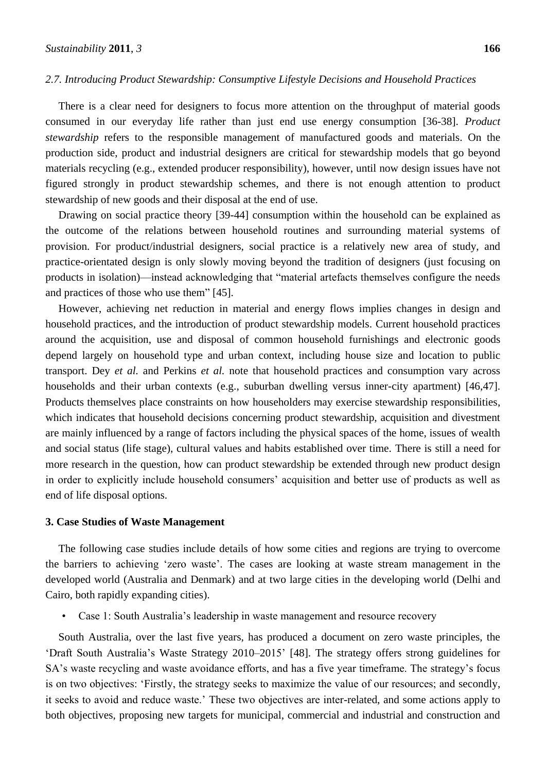There is a clear need for designers to focus more attention on the throughput of material goods consumed in our everyday life rather than just end use energy consumption [36-38]. *Product stewardship* refers to the responsible management of manufactured goods and materials. On the production side, product and industrial designers are critical for stewardship models that go beyond materials recycling (e.g., extended producer responsibility), however, until now design issues have not figured strongly in product stewardship schemes, and there is not enough attention to product stewardship of new goods and their disposal at the end of use.

Drawing on social practice theory [39-44] consumption within the household can be explained as the outcome of the relations between household routines and surrounding material systems of provision. For product/industrial designers, social practice is a relatively new area of study, and practice-orientated design is only slowly moving beyond the tradition of designers (just focusing on products in isolation)—instead acknowledging that "material artefacts themselves configure the needs and practices of those who use them" [45].

However, achieving net reduction in material and energy flows implies changes in design and household practices, and the introduction of product stewardship models. Current household practices around the acquisition, use and disposal of common household furnishings and electronic goods depend largely on household type and urban context, including house size and location to public transport. Dey *et al.* and Perkins *et al.* note that household practices and consumption vary across households and their urban contexts (e.g., suburban dwelling versus inner-city apartment) [46,47]. Products themselves place constraints on how householders may exercise stewardship responsibilities, which indicates that household decisions concerning product stewardship, acquisition and divestment are mainly influenced by a range of factors including the physical spaces of the home, issues of wealth and social status (life stage), cultural values and habits established over time. There is still a need for more research in the question, how can product stewardship be extended through new product design in order to explicitly include household consumers' acquisition and better use of products as well as end of life disposal options.

#### **3. Case Studies of Waste Management**

The following case studies include details of how some cities and regions are trying to overcome the barriers to achieving ‗zero waste'. The cases are looking at waste stream management in the developed world (Australia and Denmark) and at two large cities in the developing world (Delhi and Cairo, both rapidly expanding cities).

• Case 1: South Australia's leadership in waste management and resource recovery

South Australia, over the last five years, has produced a document on zero waste principles, the ‗Draft South Australia's Waste Strategy 2010–2015' [48]. The strategy offers strong guidelines for SA's waste recycling and waste avoidance efforts, and has a five year timeframe. The strategy's focus is on two objectives: ‗Firstly, the strategy seeks to maximize the value of our resources; and secondly, it seeks to avoid and reduce waste.' These two objectives are inter-related, and some actions apply to both objectives, proposing new targets for municipal, commercial and industrial and construction and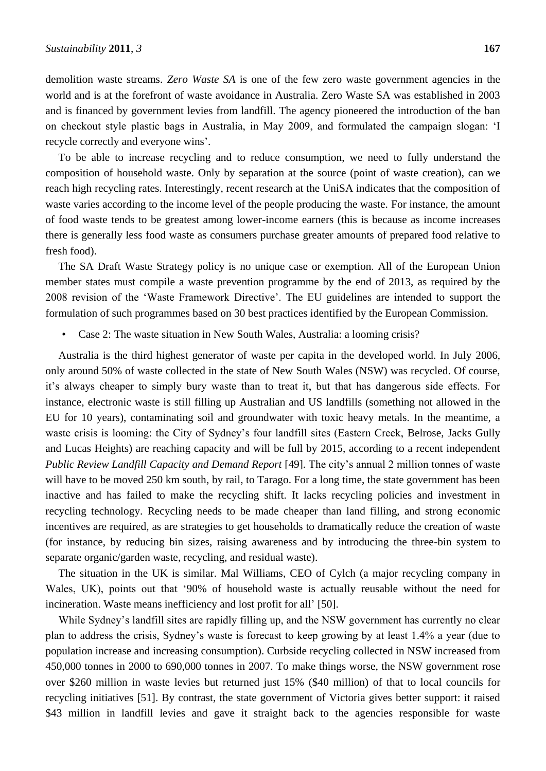demolition waste streams. *Zero Waste SA* is one of the few zero waste government agencies in the world and is at the forefront of waste avoidance in Australia. Zero Waste SA was established in 2003 and is financed by government levies from landfill. The agency pioneered the introduction of the ban on checkout style plastic bags in Australia, in May 2009, and formulated the campaign slogan: 'I recycle correctly and everyone wins'.

To be able to increase recycling and to reduce consumption, we need to fully understand the composition of household waste. Only by separation at the source (point of waste creation), can we reach high recycling rates. Interestingly, recent research at the UniSA indicates that the composition of waste varies according to the income level of the people producing the waste. For instance, the amount of food waste tends to be greatest among lower-income earners (this is because as income increases there is generally less food waste as consumers purchase greater amounts of prepared food relative to fresh food).

The SA Draft Waste Strategy policy is no unique case or exemption. All of the European Union member states must compile a waste prevention programme by the end of 2013, as required by the 2008 revision of the 'Waste Framework Directive'. The EU guidelines are intended to support the formulation of such programmes based on 30 best practices identified by the European Commission.

• Case 2: The waste situation in New South Wales, Australia: a looming crisis?

Australia is the third highest generator of waste per capita in the developed world. In July 2006, only around 50% of waste collected in the state of New South Wales (NSW) was recycled. Of course, it's always cheaper to simply bury waste than to treat it, but that has dangerous side effects. For instance, electronic waste is still filling up Australian and US landfills (something not allowed in the EU for 10 years), contaminating soil and groundwater with toxic heavy metals. In the meantime, a waste crisis is looming: the City of Sydney's four landfill sites (Eastern Creek, Belrose, Jacks Gully and Lucas Heights) are reaching capacity and will be full by 2015, according to a recent independent *Public Review Landfill Capacity and Demand Report* [49]. The city's annual 2 million tonnes of waste will have to be moved 250 km south, by rail, to Tarago. For a long time, the state government has been inactive and has failed to make the recycling shift. It lacks recycling policies and investment in recycling technology. Recycling needs to be made cheaper than land filling, and strong economic incentives are required, as are strategies to get households to dramatically reduce the creation of waste (for instance, by reducing bin sizes, raising awareness and by introducing the three-bin system to separate organic/garden waste, recycling, and residual waste).

The situation in the UK is similar. Mal Williams, CEO of Cylch (a major recycling company in Wales, UK), points out that '90% of household waste is actually reusable without the need for incineration. Waste means inefficiency and lost profit for all' [50].

While Sydney's landfill sites are rapidly filling up, and the NSW government has currently no clear plan to address the crisis, Sydney's waste is forecast to keep growing by at least 1.4% a year (due to population increase and increasing consumption). Curbside recycling collected in NSW increased from 450,000 tonnes in 2000 to 690,000 tonnes in 2007. To make things worse, the NSW government rose over \$260 million in waste levies but returned just 15% (\$40 million) of that to local councils for recycling initiatives [51]. By contrast, the state government of Victoria gives better support: it raised \$43 million in landfill levies and gave it straight back to the agencies responsible for waste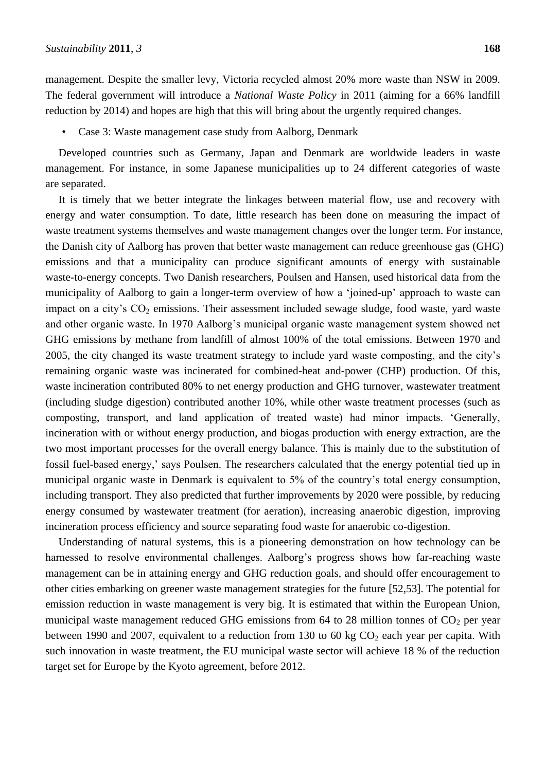management. Despite the smaller levy, Victoria recycled almost 20% more waste than NSW in 2009. The federal government will introduce a *National Waste Policy* in 2011 (aiming for a 66% landfill reduction by 2014) and hopes are high that this will bring about the urgently required changes.

• Case 3: Waste management case study from Aalborg, Denmark

Developed countries such as Germany, Japan and Denmark are worldwide leaders in waste management. For instance, in some Japanese municipalities up to 24 different categories of waste are separated.

It is timely that we better integrate the linkages between material flow, use and recovery with energy and water consumption. To date, little research has been done on measuring the impact of waste treatment systems themselves and waste management changes over the longer term. For instance, the Danish city of Aalborg has proven that better waste management can reduce greenhouse gas (GHG) emissions and that a municipality can produce significant amounts of energy with sustainable waste-to-energy concepts. Two Danish researchers, Poulsen and Hansen, used historical data from the municipality of Aalborg to gain a longer-term overview of how a 'joined-up' approach to waste can impact on a city's  $CO<sub>2</sub>$  emissions. Their assessment included sewage sludge, food waste, yard waste and other organic waste. In 1970 Aalborg's municipal organic waste management system showed net GHG emissions by methane from landfill of almost 100% of the total emissions. Between 1970 and 2005, the city changed its waste treatment strategy to include yard waste composting, and the city's remaining organic waste was incinerated for combined-heat and-power (CHP) production. Of this, waste incineration contributed 80% to net energy production and GHG turnover, wastewater treatment (including sludge digestion) contributed another 10%, while other waste treatment processes (such as composting, transport, and land application of treated waste) had minor impacts. 'Generally, incineration with or without energy production, and biogas production with energy extraction, are the two most important processes for the overall energy balance. This is mainly due to the substitution of fossil fuel-based energy,' says Poulsen. The researchers calculated that the energy potential tied up in municipal organic waste in Denmark is equivalent to 5% of the country's total energy consumption, including transport. They also predicted that further improvements by 2020 were possible, by reducing energy consumed by wastewater treatment (for aeration), increasing anaerobic digestion, improving incineration process efficiency and source separating food waste for anaerobic co-digestion.

Understanding of natural systems, this is a pioneering demonstration on how technology can be harnessed to resolve environmental challenges. Aalborg's progress shows how far-reaching waste management can be in attaining energy and GHG reduction goals, and should offer encouragement to other cities embarking on greener waste management strategies for the future [52,53]. The potential for emission reduction in waste management is very big. It is estimated that within the European Union, municipal waste management reduced GHG emissions from 64 to 28 million tonnes of  $CO<sub>2</sub>$  per year between 1990 and 2007, equivalent to a reduction from 130 to 60 kg  $CO<sub>2</sub>$  each year per capita. With such innovation in waste treatment, the EU municipal waste sector will achieve 18 % of the reduction target set for Europe by the Kyoto agreement, before 2012.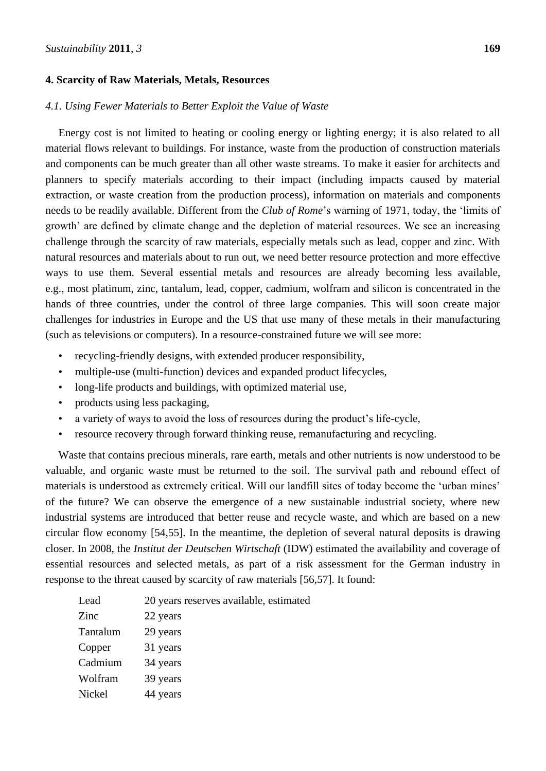## **4. Scarcity of Raw Materials, Metals, Resources**

#### *4.1. Using Fewer Materials to Better Exploit the Value of Waste*

Energy cost is not limited to heating or cooling energy or lighting energy; it is also related to all material flows relevant to buildings. For instance, waste from the production of construction materials and components can be much greater than all other waste streams. To make it easier for architects and planners to specify materials according to their impact (including impacts caused by material extraction, or waste creation from the production process), information on materials and components needs to be readily available. Different from the *Club of Rome*'s warning of 1971, today, the 'limits of growth' are defined by climate change and the depletion of material resources. We see an increasing challenge through the scarcity of raw materials, especially metals such as lead, copper and zinc. With natural resources and materials about to run out, we need better resource protection and more effective ways to use them. Several essential metals and resources are already becoming less available, e.g., most platinum, zinc, tantalum, lead, copper, cadmium, wolfram and silicon is concentrated in the hands of three countries, under the control of three large companies. This will soon create major challenges for industries in Europe and the US that use many of these metals in their manufacturing (such as televisions or computers). In a resource-constrained future we will see more:

- recycling-friendly designs, with extended producer responsibility,
- multiple-use (multi-function) devices and expanded product lifecycles,
- long-life products and buildings, with optimized material use,
- products using less packaging,
- a variety of ways to avoid the loss of resources during the product's life-cycle,
- resource recovery through forward thinking reuse, remanufacturing and recycling.

Waste that contains precious minerals, rare earth, metals and other nutrients is now understood to be valuable, and organic waste must be returned to the soil. The survival path and rebound effect of materials is understood as extremely critical. Will our landfill sites of today become the 'urban mines' of the future? We can observe the emergence of a new sustainable industrial society, where new industrial systems are introduced that better reuse and recycle waste, and which are based on a new circular flow economy [54,55]. In the meantime, the depletion of several natural deposits is drawing closer. In 2008, the *Institut der Deutschen Wirtschaft* (IDW) estimated the availability and coverage of essential resources and selected metals, as part of a risk assessment for the German industry in response to the threat caused by scarcity of raw materials [56,57]. It found:

| 20 years reserves available, estimated |
|----------------------------------------|
| 22 years                               |
| 29 years                               |
| 31 years                               |
| 34 years                               |
| 39 years                               |
| 44 years                               |
|                                        |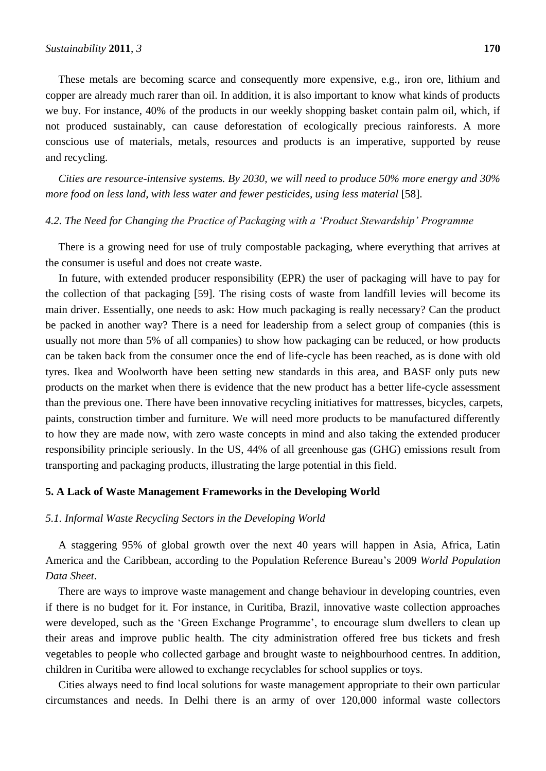These metals are becoming scarce and consequently more expensive, e.g., iron ore, lithium and copper are already much rarer than oil. In addition, it is also important to know what kinds of products we buy. For instance, 40% of the products in our weekly shopping basket contain palm oil, which, if not produced sustainably, can cause deforestation of ecologically precious rainforests. A more conscious use of materials, metals, resources and products is an imperative, supported by reuse and recycling.

*Cities are resource-intensive systems. By 2030, we will need to produce 50% more energy and 30% more food on less land, with less water and fewer pesticides, using less material* [58].

### *4.2. The Need for Changing the Practice of Packaging with a 'Product Stewardship' Programme*

There is a growing need for use of truly compostable packaging, where everything that arrives at the consumer is useful and does not create waste.

In future, with extended producer responsibility (EPR) the user of packaging will have to pay for the collection of that packaging [59]. The rising costs of waste from landfill levies will become its main driver. Essentially, one needs to ask: How much packaging is really necessary? Can the product be packed in another way? There is a need for leadership from a select group of companies (this is usually not more than 5% of all companies) to show how packaging can be reduced, or how products can be taken back from the consumer once the end of life-cycle has been reached, as is done with old tyres. Ikea and Woolworth have been setting new standards in this area, and BASF only puts new products on the market when there is evidence that the new product has a better life-cycle assessment than the previous one. There have been innovative recycling initiatives for mattresses, bicycles, carpets, paints, construction timber and furniture. We will need more products to be manufactured differently to how they are made now, with zero waste concepts in mind and also taking the extended producer responsibility principle seriously. In the US, 44% of all greenhouse gas (GHG) emissions result from transporting and packaging products, illustrating the large potential in this field.

### **5. A Lack of Waste Management Frameworks in the Developing World**

### *5.1. Informal Waste Recycling Sectors in the Developing World*

A staggering 95% of global growth over the next 40 years will happen in Asia, Africa, Latin America and the Caribbean, according to the Population Reference Bureau's 2009 *World Population Data Sheet*.

There are ways to improve waste management and change behaviour in developing countries, even if there is no budget for it. For instance, in Curitiba, Brazil, innovative waste collection approaches were developed, such as the 'Green Exchange Programme', to encourage slum dwellers to clean up their areas and improve public health. The city administration offered free bus tickets and fresh vegetables to people who collected garbage and brought waste to neighbourhood centres. In addition, children in Curitiba were allowed to exchange recyclables for school supplies or toys.

Cities always need to find local solutions for waste management appropriate to their own particular circumstances and needs. In Delhi there is an army of over 120,000 informal waste collectors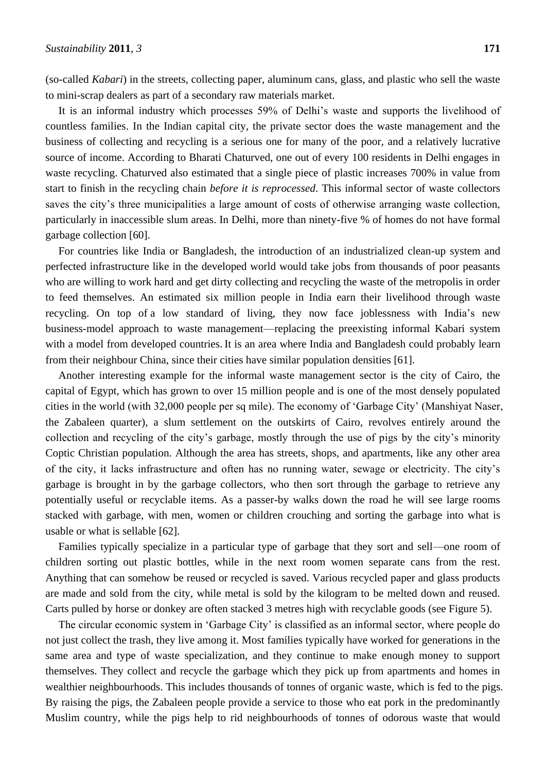(so-called *Kabari*) in the streets, collecting paper, aluminum cans, glass, and plastic who sell the waste to mini-scrap dealers as part of a secondary raw materials market.

It is an informal industry which processes 59% of Delhi's waste and supports the livelihood of countless families. In the Indian capital city, the private sector does the waste management and the business of collecting and recycling is a serious one for many of the poor, and a relatively lucrative source of income. According to Bharati Chaturved, one out of every 100 residents in Delhi engages in waste recycling. Chaturved also estimated that a single piece of plastic increases 700% in value from start to finish in the recycling chain *before it is reprocessed*. This informal sector of waste collectors saves the city's three municipalities a large amount of costs of otherwise arranging waste collection, particularly in inaccessible slum areas. In Delhi, more than ninety-five % of homes do not have formal garbage collection [60].

For countries like India or Bangladesh, the introduction of an industrialized clean-up system and perfected infrastructure like in the developed world would take jobs from thousands of poor peasants who are willing to work hard and get dirty collecting and recycling the waste of the metropolis in order to feed themselves. An estimated six million people in India earn their livelihood through waste recycling. On top of a low standard of living, they now face joblessness with India's new business-model approach to waste management—replacing the preexisting informal Kabari system with a model from developed countries. It is an area where India and Bangladesh could probably learn from their neighbour China, since their cities have similar population densities [61].

Another interesting example for the informal waste management sector is the city of Cairo, the capital of Egypt, which has grown to over 15 million people and is one of the most densely populated cities in the world (with 32,000 people per sq mile). The economy of ‗Garbage City' (Manshiyat Naser, the Zabaleen quarter), a slum settlement on the outskirts of Cairo, revolves entirely around the collection and recycling of the city's garbage, mostly through the use of pigs by the city's minority Coptic Christian population. Although the area has streets, shops, and apartments, like any other area of the city, it lacks infrastructure and often has no running water, sewage or electricity. The city's garbage is brought in by the garbage collectors, who then sort through the garbage to retrieve any potentially useful or recyclable items. As a passer-by walks down the road he will see large rooms stacked with garbage, with men, women or children crouching and sorting the garbage into what is usable or what is sellable [62].

Families typically specialize in a particular type of garbage that they sort and sell—one room of children sorting out plastic bottles, while in the next room women separate cans from the rest. Anything that can somehow be reused or recycled is saved. Various recycled paper and glass products are made and sold from the city, while metal is sold by the kilogram to be melted down and reused. Carts pulled by horse or donkey are often stacked 3 metres high with recyclable goods (see Figure 5).

The circular economic system in 'Garbage City' is classified as an informal sector, where people do not just collect the trash, they live among it. Most families typically have worked for generations in the same area and type of waste specialization, and they continue to make enough money to support themselves. They collect and recycle the garbage which they pick up from apartments and homes in wealthier neighbourhoods. This includes thousands of tonnes of organic waste, which is fed to the pigs. By raising the pigs, the Zabaleen people provide a service to those who eat pork in the predominantly Muslim country, while the pigs help to rid neighbourhoods of tonnes of odorous waste that would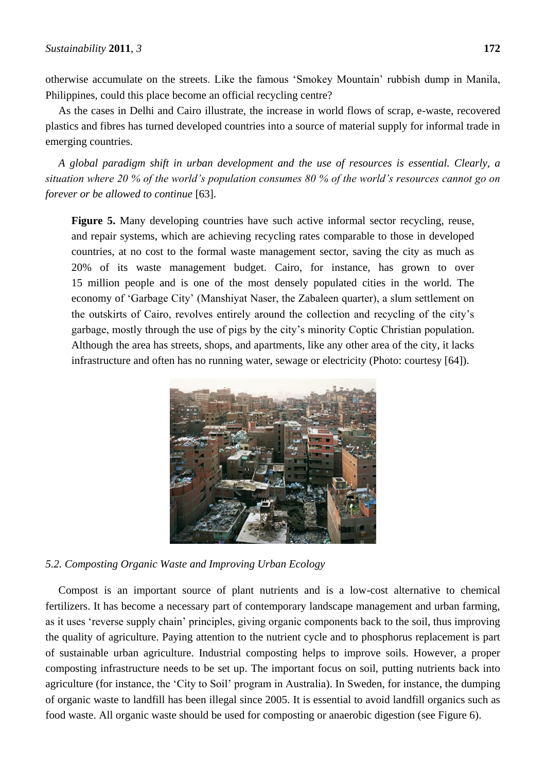otherwise accumulate on the streets. Like the famous 'Smokey Mountain' rubbish dump in Manila, Philippines, could this place become an official recycling centre?

As the cases in Delhi and Cairo illustrate, the increase in world flows of scrap, e-waste, recovered plastics and fibres has turned developed countries into a source of material supply for informal trade in emerging countries.

*A global paradigm shift in urban development and the use of resources is essential. Clearly, a situation where 20 % of the world's population consumes 80 % of the world's resources cannot go on forever or be allowed to continue* [63].

**Figure 5.** Many developing countries have such active informal sector recycling, reuse, and repair systems, which are achieving recycling rates comparable to those in developed countries, at no cost to the formal waste management sector, saving the city as much as 20% of its waste management budget. Cairo, for instance, has grown to over 15 million people and is one of the most densely populated cities in the world. The economy of 'Garbage City' (Manshiyat Naser, the Zabaleen quarter), a slum settlement on the outskirts of Cairo, revolves entirely around the collection and recycling of the city's garbage, mostly through the use of pigs by the city's minority Coptic Christian population. Although the area has streets, shops, and apartments, like any other area of the city, it lacks infrastructure and often has no running water, sewage or electricity (Photo: courtesy [64]).



# *5.2. Composting Organic Waste and Improving Urban Ecology*

Compost is an important source of plant nutrients and is a low-cost alternative to chemical fertilizers. It has become a necessary part of contemporary landscape management and urban farming, as it uses ‗reverse supply chain' principles, giving organic components back to the soil, thus improving the quality of agriculture. Paying attention to the nutrient cycle and to phosphorus replacement is part of sustainable urban agriculture. Industrial composting helps to improve soils. However, a proper composting infrastructure needs to be set up. The important focus on soil, putting nutrients back into agriculture (for instance, the 'City to Soil' program in Australia). In Sweden, for instance, the dumping of organic waste to landfill has been illegal since 2005. It is essential to avoid landfill organics such as food waste. All organic waste should be used for composting or anaerobic digestion (see Figure 6).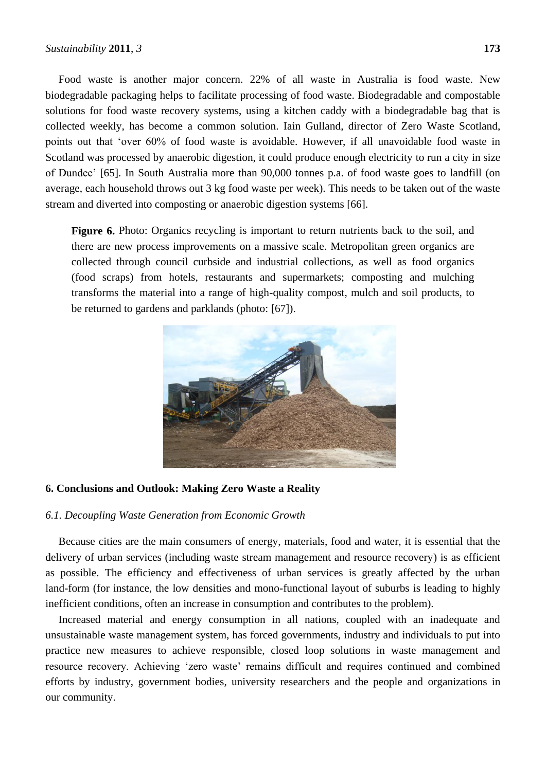Food waste is another major concern. 22% of all waste in Australia is food waste. New biodegradable packaging helps to facilitate processing of food waste. Biodegradable and compostable solutions for food waste recovery systems, using a kitchen caddy with a biodegradable bag that is collected weekly, has become a common solution. Iain Gulland, director of Zero Waste Scotland, points out that 'over 60% of food waste is avoidable. However, if all unavoidable food waste in Scotland was processed by anaerobic digestion, it could produce enough electricity to run a city in size of Dundee' [65]. In South Australia more than 90,000 tonnes p.a. of food waste goes to landfill (on average, each household throws out 3 kg food waste per week). This needs to be taken out of the waste stream and diverted into composting or anaerobic digestion systems [66].

**Figure 6.** Photo: Organics recycling is important to return nutrients back to the soil, and there are new process improvements on a massive scale. Metropolitan green organics are collected through council curbside and industrial collections, as well as food organics (food scraps) from hotels, restaurants and supermarkets; composting and mulching transforms the material into a range of high-quality compost, mulch and soil products, to be returned to gardens and parklands (photo: [67]).



## **6. Conclusions and Outlook: Making Zero Waste a Reality**

#### *6.1. Decoupling Waste Generation from Economic Growth*

Because cities are the main consumers of energy, materials, food and water, it is essential that the delivery of urban services (including waste stream management and resource recovery) is as efficient as possible. The efficiency and effectiveness of urban services is greatly affected by the urban land-form (for instance, the low densities and mono-functional layout of suburbs is leading to highly inefficient conditions, often an increase in consumption and contributes to the problem).

Increased material and energy consumption in all nations, coupled with an inadequate and unsustainable waste management system, has forced governments, industry and individuals to put into practice new measures to achieve responsible, closed loop solutions in waste management and resource recovery. Achieving ‗zero waste' remains difficult and requires continued and combined efforts by industry, government bodies, university researchers and the people and organizations in our community.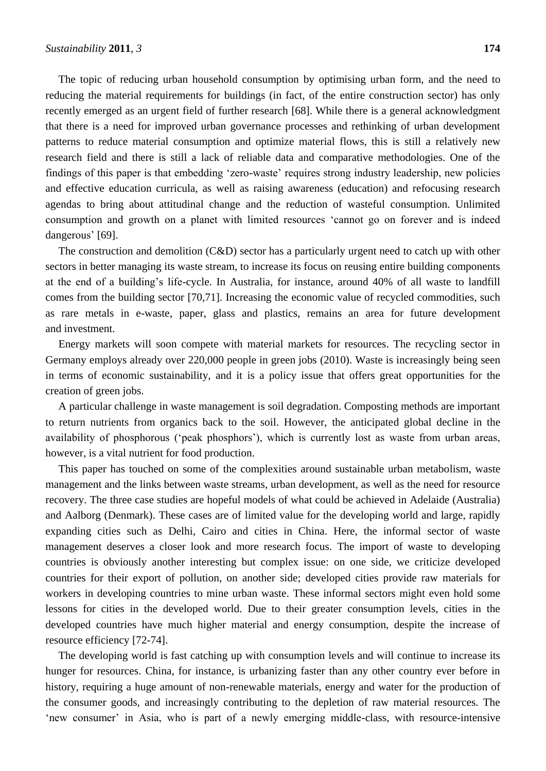The topic of reducing urban household consumption by optimising urban form, and the need to reducing the material requirements for buildings (in fact, of the entire construction sector) has only recently emerged as an urgent field of further research [68]. While there is a general acknowledgment that there is a need for improved urban governance processes and rethinking of urban development patterns to reduce material consumption and optimize material flows, this is still a relatively new research field and there is still a lack of reliable data and comparative methodologies. One of the findings of this paper is that embedding 'zero-waste' requires strong industry leadership, new policies and effective education curricula, as well as raising awareness (education) and refocusing research agendas to bring about attitudinal change and the reduction of wasteful consumption. Unlimited consumption and growth on a planet with limited resources 'cannot go on forever and is indeed dangerous' [69].

The construction and demolition (C&D) sector has a particularly urgent need to catch up with other sectors in better managing its waste stream, to increase its focus on reusing entire building components at the end of a building's life-cycle. In Australia, for instance, around 40% of all waste to landfill comes from the building sector [70,71]. Increasing the economic value of recycled commodities, such as rare metals in e-waste, paper, glass and plastics, remains an area for future development and investment.

Energy markets will soon compete with material markets for resources. The recycling sector in Germany employs already over 220,000 people in green jobs (2010). Waste is increasingly being seen in terms of economic sustainability, and it is a policy issue that offers great opportunities for the creation of green jobs.

A particular challenge in waste management is soil degradation. Composting methods are important to return nutrients from organics back to the soil. However, the anticipated global decline in the availability of phosphorous ('peak phosphors'), which is currently lost as waste from urban areas, however, is a vital nutrient for food production.

This paper has touched on some of the complexities around sustainable urban metabolism, waste management and the links between waste streams, urban development, as well as the need for resource recovery. The three case studies are hopeful models of what could be achieved in Adelaide (Australia) and Aalborg (Denmark). These cases are of limited value for the developing world and large, rapidly expanding cities such as Delhi, Cairo and cities in China. Here, the informal sector of waste management deserves a closer look and more research focus. The import of waste to developing countries is obviously another interesting but complex issue: on one side, we criticize developed countries for their export of pollution, on another side; developed cities provide raw materials for workers in developing countries to mine urban waste. These informal sectors might even hold some lessons for cities in the developed world. Due to their greater consumption levels, cities in the developed countries have much higher material and energy consumption, despite the increase of resource efficiency [72-74].

The developing world is fast catching up with consumption levels and will continue to increase its hunger for resources. China, for instance, is urbanizing faster than any other country ever before in history, requiring a huge amount of non-renewable materials, energy and water for the production of the consumer goods, and increasingly contributing to the depletion of raw material resources. The ‗new consumer' in Asia, who is part of a newly emerging middle-class, with resource-intensive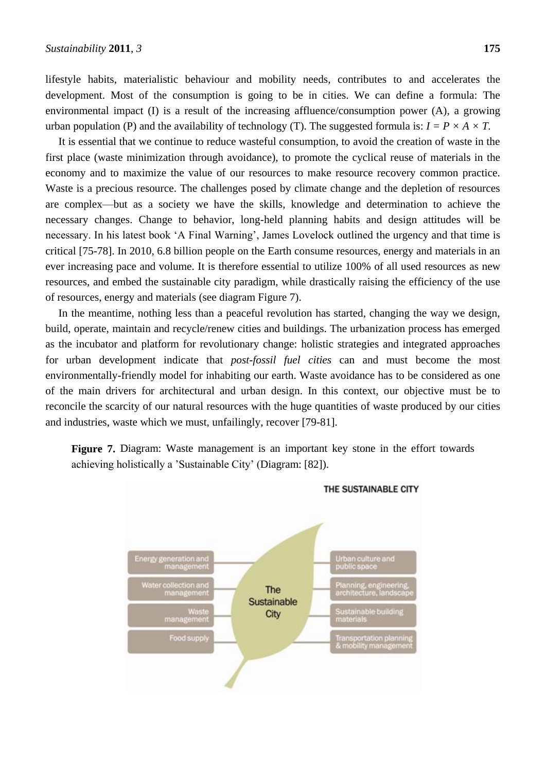lifestyle habits, materialistic behaviour and mobility needs, contributes to and accelerates the development. Most of the consumption is going to be in cities. We can define a formula: The environmental impact (I) is a result of the increasing affluence/consumption power (A), a growing urban population (P) and the availability of technology (T). The suggested formula is:  $I = P \times A \times T$ .

It is essential that we continue to reduce wasteful consumption, to avoid the creation of waste in the first place (waste minimization through avoidance), to promote the cyclical reuse of materials in the economy and to maximize the value of our resources to make resource recovery common practice. Waste is a precious resource. The challenges posed by climate change and the depletion of resources are complex—but as a society we have the skills, knowledge and determination to achieve the necessary changes. Change to behavior, long-held planning habits and design attitudes will be necessary. In his latest book ‗A Final Warning', James Lovelock outlined the urgency and that time is critical [75-78]. In 2010, 6.8 billion people on the Earth consume resources, energy and materials in an ever increasing pace and volume. It is therefore essential to utilize 100% of all used resources as new resources, and embed the sustainable city paradigm, while drastically raising the efficiency of the use of resources, energy and materials (see diagram Figure 7).

In the meantime, nothing less than a peaceful revolution has started, changing the way we design, build, operate, maintain and recycle/renew cities and buildings. The urbanization process has emerged as the incubator and platform for revolutionary change: holistic strategies and integrated approaches for urban development indicate that *post-fossil fuel cities* can and must become the most environmentally-friendly model for inhabiting our earth. Waste avoidance has to be considered as one of the main drivers for architectural and urban design. In this context, our objective must be to reconcile the scarcity of our natural resources with the huge quantities of waste produced by our cities and industries, waste which we must, unfailingly, recover [79-81].

**Figure 7.** Diagram: Waste management is an important key stone in the effort towards achieving holistically a 'Sustainable City' (Diagram: [82]).

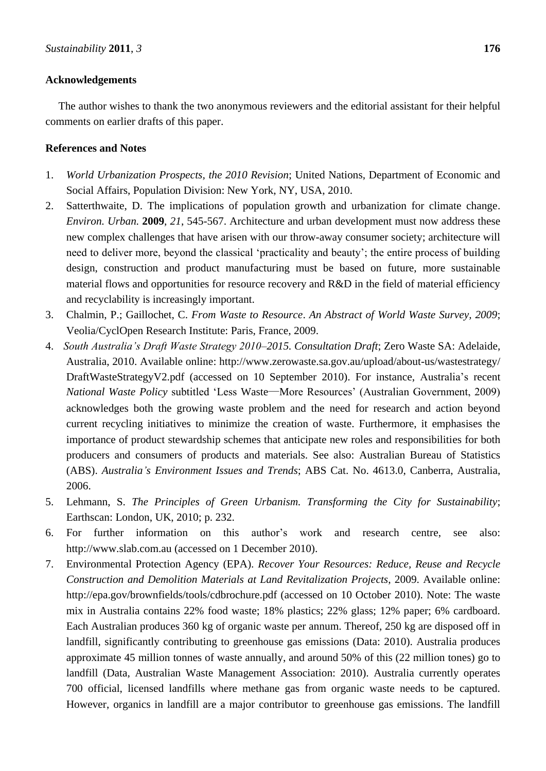## **Acknowledgements**

The author wishes to thank the two anonymous reviewers and the editorial assistant for their helpful comments on earlier drafts of this paper.

## **References and Notes**

- 1. *World Urbanization Prospects, the 2010 Revision*; United Nations, Department of Economic and Social Affairs, Population Division: New York, NY, USA, 2010.
- 2. Satterthwaite, D. The implications of population growth and urbanization for climate change. *Environ. Urban.* **2009**, *21*, 545-567. Architecture and urban development must now address these new complex challenges that have arisen with our throw-away consumer society; architecture will need to deliver more, beyond the classical 'practicality and beauty'; the entire process of building design, construction and product manufacturing must be based on future, more sustainable material flows and opportunities for resource recovery and R&D in the field of material efficiency and recyclability is increasingly important.
- 3. Chalmin, P.; Gaillochet, C. *From Waste to Resource*. *An Abstract of World Waste Survey, 2009*; Veolia/CyclOpen Research Institute: Paris, France, 2009.
- 4. *South Australia's Draft Waste Strategy 2010–2015. Consultation Draft*; Zero Waste SA: Adelaide, Australia, 2010. Available online: http://www.zerowaste.sa.gov.au/upload/about-us/wastestrategy/ DraftWasteStrategyV2.pdf (accessed on 10 September 2010). For instance, Australia's recent *National Waste Policy* subtitled ‗Less Waste—More Resources' (Australian Government, 2009) acknowledges both the growing waste problem and the need for research and action beyond current recycling initiatives to minimize the creation of waste. Furthermore, it emphasises the importance of product stewardship schemes that anticipate new roles and responsibilities for both producers and consumers of products and materials. See also: Australian Bureau of Statistics (ABS). *Australia's Environment Issues and Trends*; ABS Cat. No. 4613.0, Canberra, Australia, 2006.
- 5. Lehmann, S. *The Principles of Green Urbanism. Transforming the City for Sustainability*; Earthscan: London, UK, 2010; p. 232.
- 6. For further information on this author's work and research centre, see also: http:/[/www.slab.com.au](http://www.slab.com.au/) (accessed on 1 December 2010).
- 7. Environmental Protection Agency (EPA). *Recover Your Resources: Reduce, Reuse and Recycle Construction and Demolition Materials at Land Revitalization Projects*, 2009. Available online: <http://epa.gov/brownfields/tools/cdbrochure.pdf> (accessed on 10 October 2010). Note: The waste mix in Australia contains 22% food waste; 18% plastics; 22% glass; 12% paper; 6% cardboard. Each Australian produces 360 kg of organic waste per annum. Thereof, 250 kg are disposed off in landfill, significantly contributing to greenhouse gas emissions (Data: 2010). Australia produces approximate 45 million tonnes of waste annually, and around 50% of this (22 million tones) go to landfill (Data, Australian Waste Management Association: 2010). Australia currently operates 700 official, licensed landfills where methane gas from organic waste needs to be captured. However, organics in landfill are a major contributor to greenhouse gas emissions. The landfill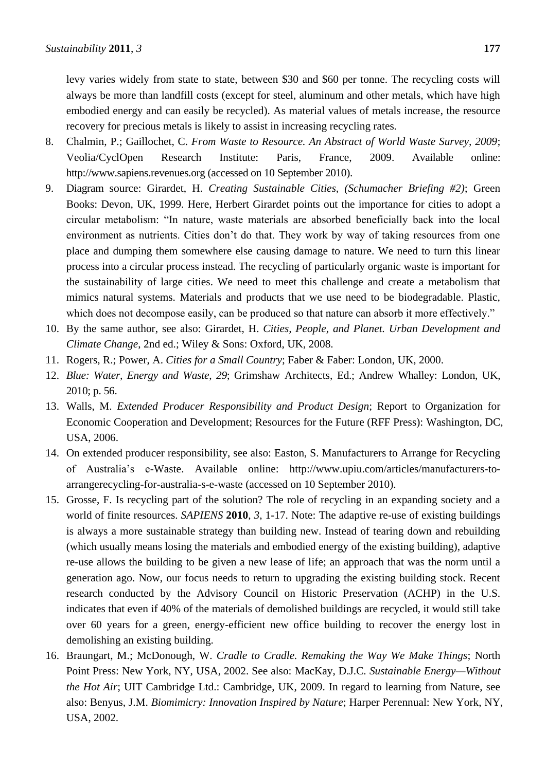levy varies widely from state to state, between \$30 and \$60 per tonne. The recycling costs will always be more than landfill costs (except for steel, aluminum and other metals, which have high embodied energy and can easily be recycled). As material values of metals increase, the resource recovery for precious metals is likely to assist in increasing recycling rates.

- 8. Chalmin, P.; Gaillochet, C. *From Waste to Resource. An Abstract of World Waste Survey, 2009*; Veolia/CyclOpen Research Institute: Paris, France, 2009. Available online: http:/[/www.sapiens.revenues.org](http://www.sapiens.revenues.org/) (accessed on 10 September 2010).
- 9. Diagram source: Girardet, H. *Creating Sustainable Cities, (Schumacher Briefing #2)*; Green Books: Devon, UK, 1999. Here, Herbert Girardet points out the importance for cities to adopt a circular metabolism: "In nature, waste materials are absorbed beneficially back into the local environment as nutrients. Cities don't do that. They work by way of taking resources from one place and dumping them somewhere else causing damage to nature. We need to turn this linear process into a circular process instead. The recycling of particularly organic waste is important for the sustainability of large cities. We need to meet this challenge and create a metabolism that mimics natural systems. Materials and products that we use need to be biodegradable. Plastic, which does not decompose easily, can be produced so that nature can absorb it more effectively."
- 10. By the same author, see also: Girardet, H. *Cities, People, and Planet. Urban Development and Climate Change*, 2nd ed.; Wiley & Sons: Oxford, UK, 2008.
- 11. Rogers, R.; Power, A. *Cities for a Small Country*; Faber & Faber: London, UK, 2000.
- 12. *Blue: Water, Energy and Waste*, *29*; Grimshaw Architects, Ed.; Andrew Whalley: London, UK, 2010; p. 56.
- 13. Walls, M. *Extended Producer Responsibility and Product Design*; Report to Organization for Economic Cooperation and Development; Resources for the Future (RFF Press): Washington, DC, USA, 2006.
- 14. On extended producer responsibility, see also: Easton, S. Manufacturers to Arrange for Recycling of Australia's e-Waste. Available online: [http://www.upiu.com/articles/manufacturers-to](http://www.upiu.com/articles/manufacturers-to-)arrangerecycling-for-australia-s-e-waste (accessed on 10 September 2010).
- 15. Grosse, F. Is recycling part of the solution? The role of recycling in an expanding society and a world of finite resources. *SAPIENS* **2010**, *3*, 1-17. Note: The adaptive re-use of existing buildings is always a more sustainable strategy than building new. Instead of tearing down and rebuilding (which usually means losing the materials and embodied energy of the existing building), adaptive re-use allows the building to be given a new lease of life; an approach that was the norm until a generation ago. Now, our focus needs to return to upgrading the existing building stock. Recent research conducted by the Advisory Council on Historic Preservation (ACHP) in the U.S. indicates that even if 40% of the materials of demolished buildings are recycled, it would still take over 60 years for a green, energy-efficient new office building to recover the energy lost in demolishing an existing building.
- 16. Braungart, M.; McDonough, W. *Cradle to Cradle. Remaking the Way We Make Things*; North Point Press: New York, NY, USA, 2002. See also: MacKay, D.J.C. *Sustainable Energy—Without the Hot Air*; UIT Cambridge Ltd.: Cambridge, UK, 2009. In regard to learning from Nature, see also: Benyus, J.M. *Biomimicry: Innovation Inspired by Nature*; Harper Perennual: New York, NY, USA, 2002.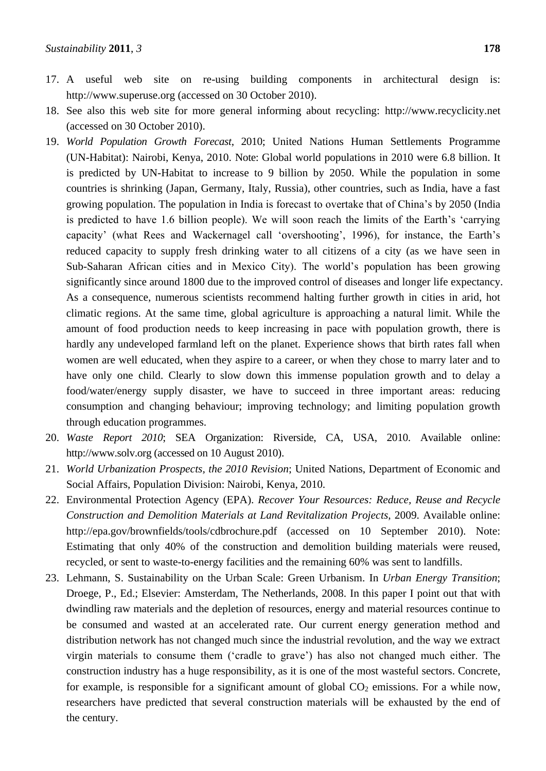- 17. A useful web site on re-using building components in architectural design is: http:/[/www.superuse.org](https://mail.unisa.edu.au/owa/redir.aspx?C=5ec5fae5fd35473e9f185a798fde4878&URL=http%3a%2f%2fwww.superuse.org) (accessed on 30 October 2010).
- 18. See also this web site for more general informing about recycling: http:/[/www.recyclicity.net](https://mail.unisa.edu.au/owa/redir.aspx?C=5ec5fae5fd35473e9f185a798fde4878&URL=http%3a%2f%2fwww.recyclicity.net) (accessed on 30 October 2010).
- 19. *World Population Growth Forecast*, 2010; United Nations Human Settlements Programme (UN-Habitat): Nairobi, Kenya, 2010. Note: Global world populations in 2010 were 6.8 billion. It is predicted by UN-Habitat to increase to 9 billion by 2050. While the population in some countries is shrinking (Japan, Germany, Italy, Russia), other countries, such as India, have a fast growing population. The population in India is forecast to overtake that of China's by 2050 (India is predicted to have 1.6 billion people). We will soon reach the limits of the Earth's 'carrying capacity' (what Rees and Wackernagel call 'overshooting', 1996), for instance, the Earth's reduced capacity to supply fresh drinking water to all citizens of a city (as we have seen in Sub-Saharan African cities and in Mexico City). The world's population has been growing significantly since around 1800 due to the improved control of diseases and longer life expectancy. As a consequence, numerous scientists recommend halting further growth in cities in arid, hot climatic regions. At the same time, global agriculture is approaching a natural limit. While the amount of food production needs to keep increasing in pace with population growth, there is hardly any undeveloped farmland left on the planet. Experience shows that birth rates fall when women are well educated, when they aspire to a career, or when they chose to marry later and to have only one child. Clearly to slow down this immense population growth and to delay a food/water/energy supply disaster, we have to succeed in three important areas: reducing consumption and changing behaviour; improving technology; and limiting population growth through education programmes.
- 20. *Waste Report 2010*; SEA Organization: Riverside, CA, USA, 2010. Available online: http:/[/www.solv.org](http://www.solv.org/) (accessed on 10 August 2010).
- 21. *World Urbanization Prospects, the 2010 Revision*; United Nations, Department of Economic and Social Affairs, Population Division: Nairobi, Kenya, 2010.
- 22. Environmental Protection Agency (EPA). *Recover Your Resources: Reduce, Reuse and Recycle Construction and Demolition Materials at Land Revitalization Projects*, 2009. Available online: <http://epa.gov/brownfields/tools/cdbrochure.pdf> (accessed on 10 September 2010). Note: Estimating that only 40% of the construction and demolition building materials were reused, recycled, or sent to waste-to-energy facilities and the remaining 60% was sent to landfills.
- 23. Lehmann, S. Sustainability on the Urban Scale: Green Urbanism. In *Urban Energy Transition*; Droege, P., Ed.; Elsevier: Amsterdam, The Netherlands, 2008. In this paper I point out that with dwindling raw materials and the depletion of resources, energy and material resources continue to be consumed and wasted at an accelerated rate. Our current energy generation method and distribution network has not changed much since the industrial revolution, and the way we extract virgin materials to consume them (‗cradle to grave') has also not changed much either. The construction industry has a huge responsibility, as it is one of the most wasteful sectors. Concrete, for example, is responsible for a significant amount of global  $CO<sub>2</sub>$  emissions. For a while now, researchers have predicted that several construction materials will be exhausted by the end of the century.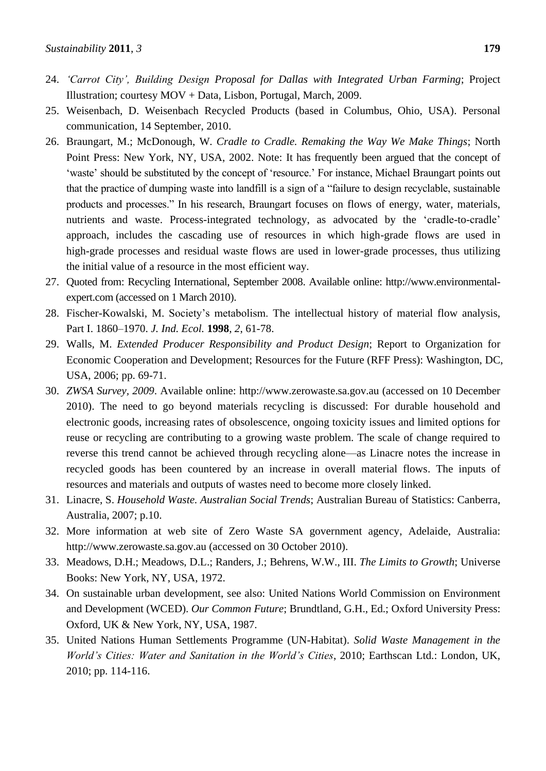- 24. *'Carrot City', Building Design Proposal for Dallas with Integrated Urban Farming*; Project Illustration; courtesy MOV + Data, Lisbon, Portugal, March, 2009.
- 25. Weisenbach, D. Weisenbach Recycled Products (based in Columbus, Ohio, USA). Personal communication, 14 September, 2010.
- 26. Braungart, M.; McDonough, W. *Cradle to Cradle. Remaking the Way We Make Things*; North Point Press: New York, NY, USA, 2002. Note: It has frequently been argued that the concept of ‗waste' should be substituted by the concept of ‗resource.' For instance, Michael Braungart points out that the practice of dumping waste into landfill is a sign of a "failure to design recyclable, sustainable products and processes." In his research, Braungart focuses on flows of energy, water, materials, nutrients and waste. Process-integrated technology, as advocated by the 'cradle-to-cradle' approach, includes the cascading use of resources in which high-grade flows are used in high-grade processes and residual waste flows are used in lower-grade processes, thus utilizing the initial value of a resource in the most efficient way.
- 27. Quoted from: Recycling International, September 2008. Available online: http://www.environmentalexpert.com (accessed on 1 March 2010).
- 28. Fischer-Kowalski, M. Society's metabolism. The intellectual history of material flow analysis, Part I. 1860–1970. *J. Ind. Ecol.* **1998**, *2*, 61-78.
- 29. Walls, M. *Extended Producer Responsibility and Product Design*; Report to Organization for Economic Cooperation and Development; Resources for the Future (RFF Press): Washington, DC, USA, 2006; pp. 69-71.
- 30. *ZWSA Survey, 2009*. Available online: http:/[/www.zerowaste.sa.gov.au](http://www.zerowaste.sa.gov.au/) (accessed on 10 December 2010). The need to go beyond materials recycling is discussed: For durable household and electronic goods, increasing rates of obsolescence, ongoing toxicity issues and limited options for reuse or recycling are contributing to a growing waste problem. The scale of change required to reverse this trend cannot be achieved through recycling alone—as Linacre notes the increase in recycled goods has been countered by an increase in overall material flows. The inputs of resources and materials and outputs of wastes need to become more closely linked.
- 31. Linacre, S. *Household Waste. Australian Social Trends*; Australian Bureau of Statistics: Canberra, Australia, 2007; p.10.
- 32. More information at web site of Zero Waste SA government agency, Adelaide, Australia: http:/[/www.zerowaste.sa.gov.au](http://www.zerowaste.sa.gov.au/) (accessed on 30 October 2010).
- 33. Meadows, D.H.; Meadows, D.L.; Randers, J.; Behrens, W.W., III. *The Limits to Growth*; Universe Books: New York, NY, USA, 1972.
- 34. On sustainable urban development, see also: United Nations World Commission on Environment and Development (WCED). *Our Common Future*; Brundtland, G.H., Ed.; Oxford University Press: Oxford, UK & New York, NY, USA, 1987.
- 35. United Nations Human Settlements Programme (UN-Habitat). *Solid Waste Management in the World's Cities: Water and Sanitation in the World's Cities*, 2010; Earthscan Ltd.: London, UK, 2010; pp. 114-116.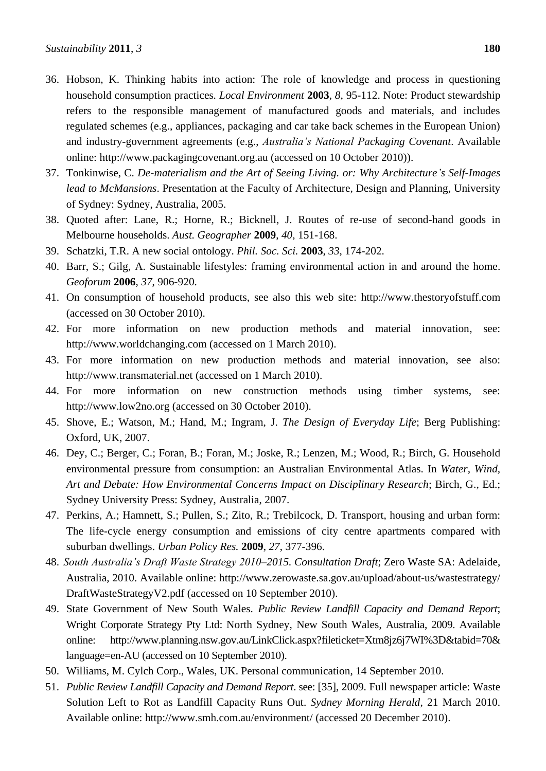- 36. Hobson, K. Thinking habits into action: The role of knowledge and process in questioning household consumption practices*. Local Environment* **2003**, *8*, 95-112. Note: Product stewardship refers to the responsible management of manufactured goods and materials, and includes regulated schemes (e.g., appliances, packaging and car take back schemes in the European Union) and industry-government agreements (e.g., *Australia's National Packaging Covenant*. Available online: http:/[/www.packagingcovenant.org.au](http://www.packagingcovenant.org.au/) (accessed on 10 October 2010)).
- 37. Tonkinwise, C. *De-materialism and the Art of Seeing Living. or: Why Architecture's Self-Images lead to McMansions*. Presentation at the Faculty of Architecture, Design and Planning, University of Sydney: Sydney, Australia, 2005.
- 38. Quoted after: Lane, R.; Horne, R.; Bicknell, J. Routes of re-use of second-hand goods in Melbourne households. *Aust. Geographer* **2009**, *40*, 151-168.
- 39. Schatzki, T.R. A new social ontology. *Phil. Soc. Sci.* **2003**, *33*, 174-202.
- 40. Barr, S.; Gilg, A. Sustainable lifestyles: framing environmental action in and around the home. *Geoforum* **2006**, *37*, 906-920.
- 41. On consumption of household products, see also this web site: http:/[/www.thestoryofstuff.com](http://www.thestoryofstuff.com/) (accessed on 30 October 2010).
- 42. For more information on new production methods and material innovation, see: http:/[/www.worldchanging.com](https://mail.unisa.edu.au/owa/redir.aspx?C=5ec5fae5fd35473e9f185a798fde4878&URL=http%3a%2f%2fwww.worldchanging.com) (accessed on 1 March 2010).
- 43. For more information on new production methods and material innovation, see also: http:/[/www.transmaterial.net](http://www.transmaterial.net/) (accessed on 1 March 2010).
- 44. For more information on new construction methods using timber systems, see: http:/[/www.low2no.org](http://www.low2no.org/) (accessed on 30 October 2010).
- 45. Shove, E.; Watson, M.; Hand, M.; Ingram, J. *The Design of Everyday Life*; Berg Publishing: Oxford, UK, 2007.
- 46. Dey, C.; Berger, C.; Foran, B.; Foran, M.; Joske, R.; Lenzen, M.; Wood, R.; Birch, G. Household environmental pressure from consumption: an Australian Environmental Atlas. In *Water, Wind, Art and Debate: How Environmental Concerns Impact on Disciplinary Research*; Birch, G., Ed.; Sydney University Press: Sydney, Australia, 2007.
- 47. Perkins, A.; Hamnett, S.; Pullen, S.; Zito, R.; Trebilcock, D. Transport, housing and urban form: The life-cycle energy consumption and emissions of city centre apartments compared with suburban dwellings. *Urban Policy Res.* **2009**, *27*, 377-396.
- 48. *South Australia's Draft Waste Strategy 2010–2015. Consultation Draft*; Zero Waste SA: Adelaide, Australia, 2010. Available online:<http://www.zerowaste.sa.gov.au/upload/about-us/wastestrategy/> DraftWasteStrategyV2.pdf (accessed on 10 September 2010).
- 49. State Government of New South Wales. *Public Review Landfill Capacity and Demand Report*; Wright Corporate Strategy Pty Ltd: North Sydney, New South Wales, Australia, 2009. Available online: http://www.planning.nsw.gov.au/LinkClick.aspx?fileticket=Xtm8jz6j7WI%3D&tabid=70& language=en-AU (accessed on 10 September 2010).
- 50. Williams, M. Cylch Corp., Wales, UK. Personal communication, 14 September 2010.
- 51. *Public Review Landfill Capacity and Demand Report*. see: [35], 2009. Full newspaper article: Waste Solution Left to Rot as Landfill Capacity Runs Out. *Sydney Morning Herald*, 21 March 2010. Available online: http:/[/www.smh.com.au/environment/](http://www.smh.com.au/environment/) (accessed 20 December 2010).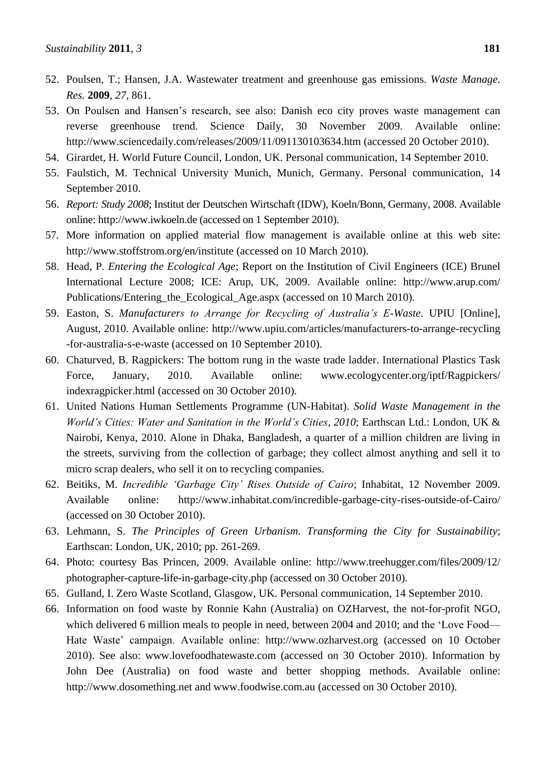- 52. Poulsen, T.; Hansen, J.A. Wastewater treatment and greenhouse gas emissions. *Waste Manage. Res.* **2009**, *27*, 861.
- 53. On Poulsen and Hansen's research, see also: Danish eco city proves waste management can reverse greenhouse trend. Science Daily, 30 November 2009. Available online: http://www.sciencedaily.com/releases/2009/11/091130103634.htm (accessed 20 October 2010).
- 54. Girardet, H. World Future Council, London, UK. Personal communication, 14 September 2010.
- 55. Faulstich, M. Technical University Munich, Munich, Germany. Personal communication, 14 September 2010.
- 56. *Report: Study 2008*; Institut der Deutschen Wirtschaft (IDW), Koeln/Bonn, Germany, 2008. Available online: http://www.iwkoeln.de (accessed on 1 September 2010).
- 57. More information on applied material flow management is available online at this web site: http:/[/www.stoffstrom.org/en/institute](http://www.stoffstrom.org/en/institute) (accessed on 10 March 2010).
- 58. Head, P. *Entering the Ecological Age*; Report on the Institution of Civil Engineers (ICE) Brunel International Lecture 2008; ICE: Arup, UK, 2009. Available online: http:/[/www.arup.com/](http://www.arup.com/) Publications/Entering\_the\_Ecological\_Age.aspx (accessed on 10 March 2010).
- 59. Easton, S. *Manufacturers to Arrange for Recycling of Australia's E-Waste*. UPIU [Online], August, 2010. Available online: http://www.upiu.com/articles/manufacturers-to-arrange-recycling -for-australia-s-e-waste (accessed on 10 September 2010).
- 60. Chaturved, B. Ragpickers: The bottom rung in the waste trade ladder. International Plastics Task Force, January, 2010. Available online: www.ecologycenter.org/iptf/Ragpickers/ indexragpicker.html (accessed on 30 October 2010).
- 61. United Nations Human Settlements Programme (UN-Habitat). *Solid Waste Management in the World's Cities: Water and Sanitation in the World's Cities*, *2010*; Earthscan Ltd.: London, UK & Nairobi, Kenya, 2010. Alone in Dhaka, Bangladesh, a quarter of a million children are living in the streets, surviving from the collection of garbage; they collect almost anything and sell it to micro scrap dealers, who sell it on to recycling companies.
- 62. Beitiks, M. *Incredible 'Garbage City' Rises Outside of Cairo*; Inhabitat, 12 November 2009. Available online: http:/[/www.inhabitat.com/incredible-garbage-city-rises-outside-of-Cairo/](http://www.inhabitat.com/incredible-garbage-city-rises-outside-of-Cairo/) (accessed on 30 October 2010).
- 63. Lehmann, S. *The Principles of Green Urbanism. Transforming the City for Sustainability*; Earthscan: London, UK, 2010; pp. 261-269.
- 64. Photo: courtesy Bas Princen, 2009. Available online: http://www.treehugger.com/files/2009/12/ photographer-capture-life-in-garbage-city.php (accessed on 30 October 2010).
- 65. Gulland, I. Zero Waste Scotland, Glasgow, UK. Personal communication, 14 September 2010.
- 66. Information on food waste by Ronnie Kahn (Australia) on OZHarvest, the not-for-profit NGO, which delivered 6 million meals to people in need, between 2004 and 2010; and the 'Love Food— Hate Waste' campaign. Available online: http:/[/www.ozharvest.org](http://www.ozharvest.org/) (accessed on 10 October 2010). See also: [www.lovefoodhatewaste.com](http://www.lovefoodhatewaste.com/) (accessed on 30 October 2010). Information by John Dee (Australia) on food waste and better shopping methods. Available online: http:/[/www.dosomething.net](http://www.dosomething.net/) and [www.foodwise.com.au](http://www.foodwise.com.au/) (accessed on 30 October 2010).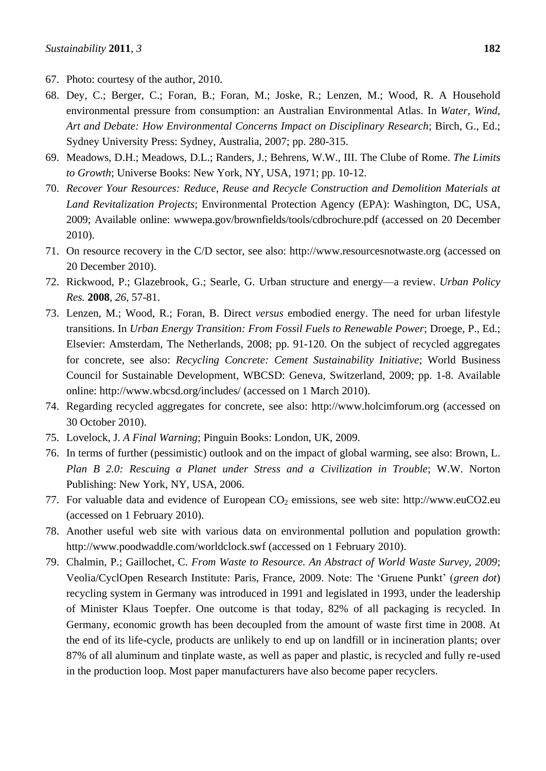- 67. Photo: courtesy of the author, 2010.
- 68. Dey, C.; Berger, C.; Foran, B.; Foran, M.; Joske, R.; Lenzen, M.; Wood, R. A Household environmental pressure from consumption: an Australian Environmental Atlas. In *Water, Wind, Art and Debate: How Environmental Concerns Impact on Disciplinary Research*; Birch, G., Ed.; Sydney University Press: Sydney, Australia, 2007; pp. 280-315.
- 69. Meadows, D.H.; Meadows, D.L.; Randers, J.; Behrens, W.W., III. The Clube of Rome. *The Limits to Growth*; Universe Books: New York, NY, USA, 1971; pp. 10-12.
- 70. *Recover Your Resources: Reduce, Reuse and Recycle Construction and Demolition Materials at Land Revitalization Projects*; Environmental Protection Agency (EPA): Washington, DC, USA, 2009; Available online: wwwepa.gov/brownfields/tools/cdbrochure.pdf (accessed on 20 December 2010).
- 71. On resource recovery in the C/D sector, see also: http:/[/www.resourcesnotwaste.org](http://www.resourcesnotwaste.org/) (accessed on 20 December 2010).
- 72. Rickwood, P.; Glazebrook, G.; Searle, G. Urban structure and energy—a review. *Urban Policy Res.* **2008**, *26*, 57-81.
- 73. Lenzen, M.; Wood, R.; Foran, B. Direct *versus* embodied energy. The need for urban lifestyle transitions. In *Urban Energy Transition: From Fossil Fuels to Renewable Power*; Droege, P., Ed.; Elsevier: Amsterdam, The Netherlands, 2008; pp. 91-120. On the subject of recycled aggregates for concrete, see also: *Recycling Concrete: Cement Sustainability Initiative*; World Business Council for Sustainable Development, WBCSD: Geneva, Switzerland, 2009; pp. 1-8. Available online: http:/[/www.wbcsd.org/includes/](http://www.wbcsd.org/includes/) (accessed on 1 March 2010).
- 74. Regarding recycled aggregates for concrete, see also: http:/[/www.holcimforum.org](http://www.holcimforum.org/) (accessed on 30 October 2010).
- 75. Lovelock, J. *A Final Warning*; Pinguin Books: London, UK, 2009.
- 76. In terms of further (pessimistic) outlook and on the impact of global warming, see also: Brown, L. *Plan B 2.0: Rescuing a Planet under Stress and a Civilization in Trouble*; W.W. Norton Publishing: New York, NY, USA, 2006.
- 77. For valuable data and evidence of European  $CO<sub>2</sub>$  emissions, see web site: http:/[/www.euCO2.eu](http://www.euco2.eu/) (accessed on 1 February 2010).
- 78. Another useful web site with various data on environmental pollution and population growth: http:/[/www.poodwaddle.com/worldclock.swf](http://www.poodwaddle.com/worldclock.swf) (accessed on 1 February 2010).
- 79. Chalmin, P.; Gaillochet, C. *From Waste to Resource. An Abstract of World Waste Survey, 2009*; Veolia/CyclOpen Research Institute: Paris, France, 2009. Note: The ‗Gruene Punkt' (*green dot*) recycling system in Germany was introduced in 1991 and legislated in 1993, under the leadership of Minister Klaus Toepfer. One outcome is that today, 82% of all packaging is recycled. In Germany, economic growth has been decoupled from the amount of waste first time in 2008. At the end of its life-cycle, products are unlikely to end up on landfill or in incineration plants; over 87% of all aluminum and tinplate waste, as well as paper and plastic, is recycled and fully re-used in the production loop. Most paper manufacturers have also become paper recyclers.